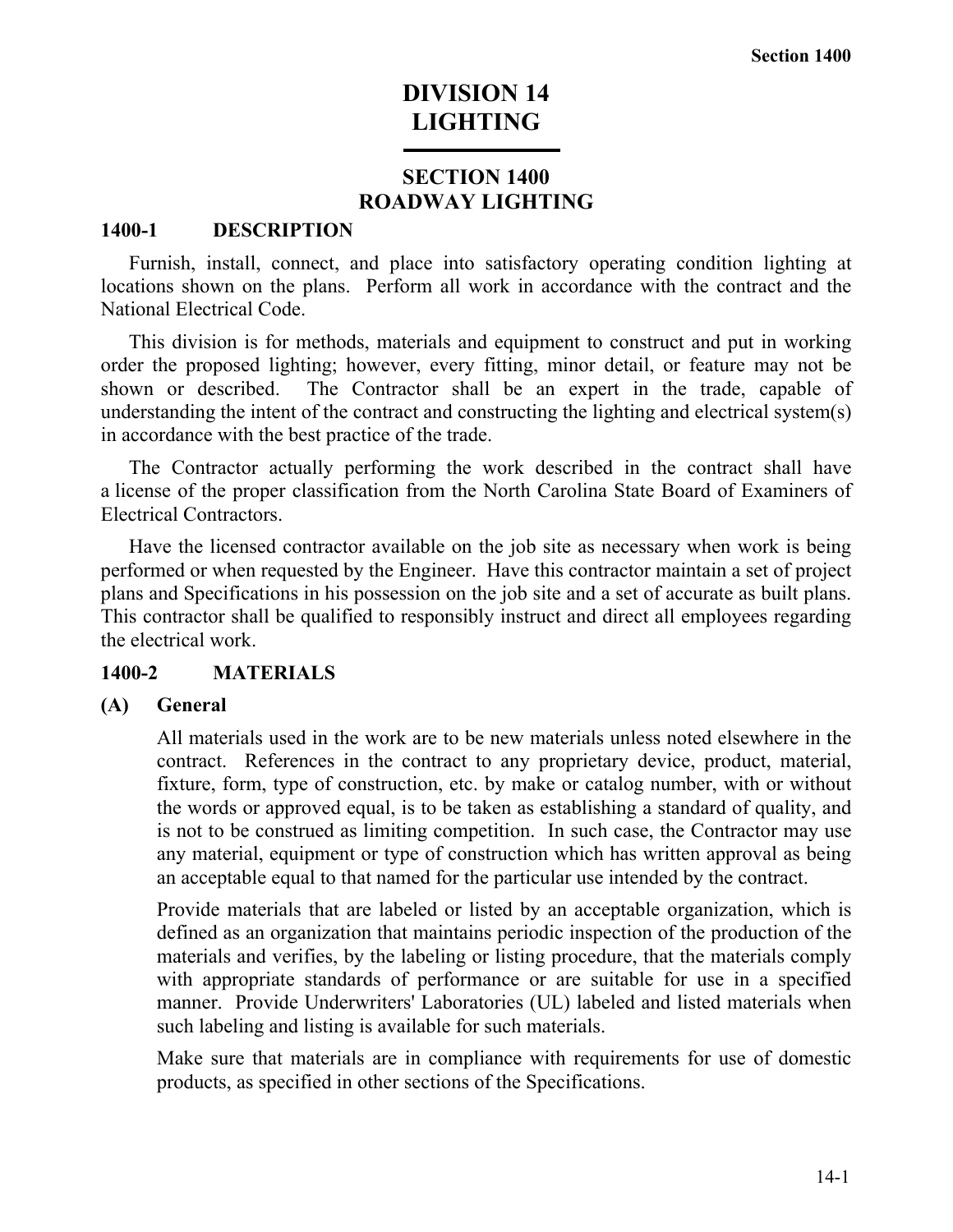# **DIVISION 14 LIGHTING**

## **SECTION 1400 ROADWAY LIGHTING**

## **1400-1 DESCRIPTION**

Furnish, install, connect, and place into satisfactory operating condition lighting at locations shown on the plans. Perform all work in accordance with the contract and the National Electrical Code.

This division is for methods, materials and equipment to construct and put in working order the proposed lighting; however, every fitting, minor detail, or feature may not be shown or described. The Contractor shall be an expert in the trade, capable of understanding the intent of the contract and constructing the lighting and electrical system(s) in accordance with the best practice of the trade.

The Contractor actually performing the work described in the contract shall have a license of the proper classification from the North Carolina State Board of Examiners of Electrical Contractors.

Have the licensed contractor available on the job site as necessary when work is being performed or when requested by the Engineer. Have this contractor maintain a set of project plans and Specifications in his possession on the job site and a set of accurate as built plans. This contractor shall be qualified to responsibly instruct and direct all employees regarding the electrical work.

## **1400-2 MATERIALS**

## **(A) General**

All materials used in the work are to be new materials unless noted elsewhere in the contract. References in the contract to any proprietary device, product, material, fixture, form, type of construction, etc. by make or catalog number, with or without the words or approved equal, is to be taken as establishing a standard of quality, and is not to be construed as limiting competition. In such case, the Contractor may use any material, equipment or type of construction which has written approval as being an acceptable equal to that named for the particular use intended by the contract.

Provide materials that are labeled or listed by an acceptable organization, which is defined as an organization that maintains periodic inspection of the production of the materials and verifies, by the labeling or listing procedure, that the materials comply with appropriate standards of performance or are suitable for use in a specified manner. Provide Underwriters' Laboratories (UL) labeled and listed materials when such labeling and listing is available for such materials.

Make sure that materials are in compliance with requirements for use of domestic products, as specified in other sections of the Specifications.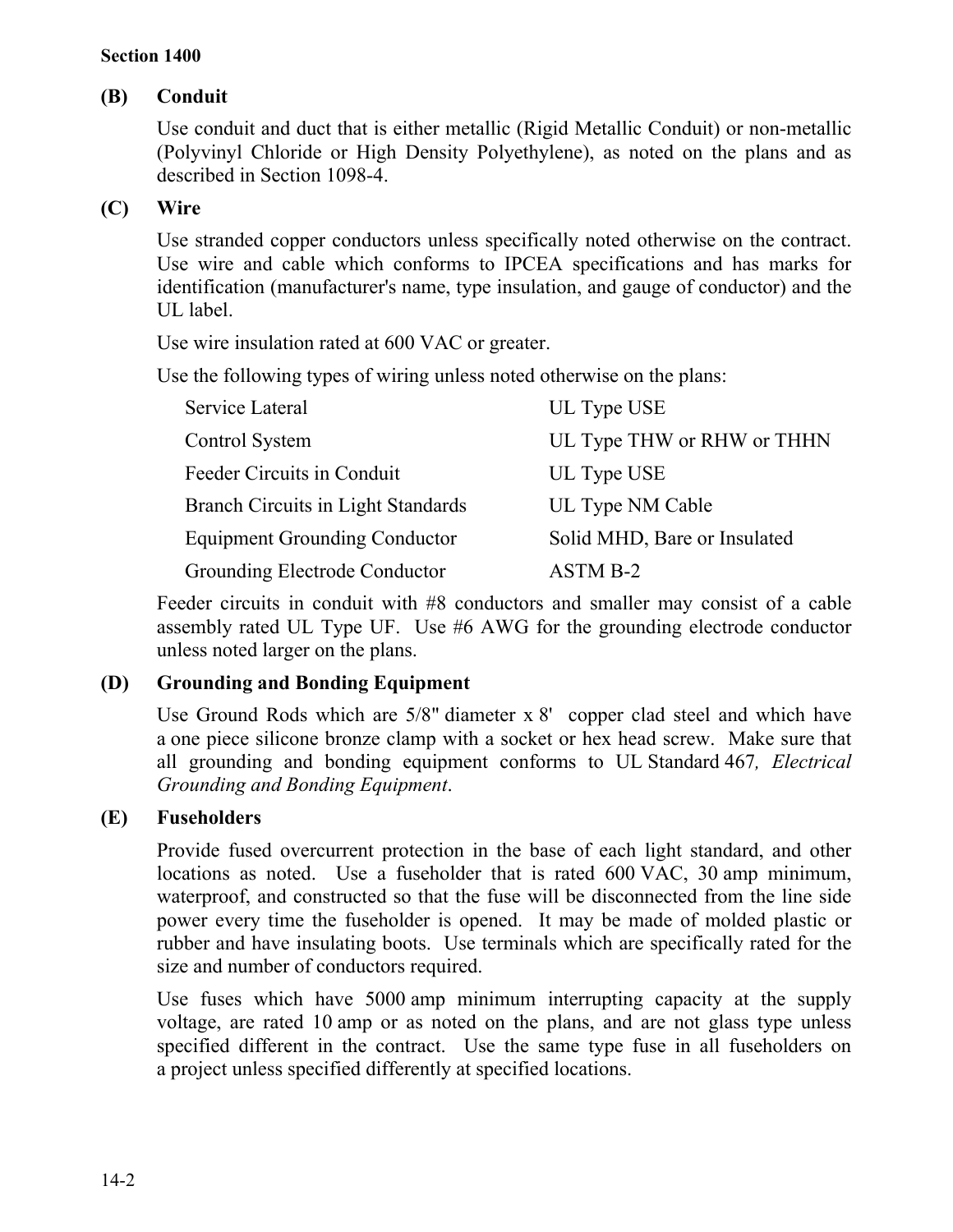## **(B) Conduit**

Use conduit and duct that is either metallic (Rigid Metallic Conduit) or non-metallic (Polyvinyl Chloride or High Density Polyethylene), as noted on the plans and as described in Section 1098-4.

## **(C) Wire**

Use stranded copper conductors unless specifically noted otherwise on the contract. Use wire and cable which conforms to IPCEA specifications and has marks for identification (manufacturer's name, type insulation, and gauge of conductor) and the UL label.

Use wire insulation rated at 600 VAC or greater.

Use the following types of wiring unless noted otherwise on the plans:

| Service Lateral                           | UL Type USE                  |
|-------------------------------------------|------------------------------|
| Control System                            | UL Type THW or RHW or THHN   |
| Feeder Circuits in Conduit                | UL Type USE                  |
| <b>Branch Circuits in Light Standards</b> | UL Type NM Cable             |
| <b>Equipment Grounding Conductor</b>      | Solid MHD, Bare or Insulated |
| Grounding Electrode Conductor             | ASTM B-2                     |

Feeder circuits in conduit with #8 conductors and smaller may consist of a cable assembly rated UL Type UF. Use #6 AWG for the grounding electrode conductor unless noted larger on the plans.

## **(D) Grounding and Bonding Equipment**

Use Ground Rods which are 5/8" diameter x 8' copper clad steel and which have a one piece silicone bronze clamp with a socket or hex head screw. Make sure that all grounding and bonding equipment conforms to UL Standard 467*, Electrical Grounding and Bonding Equipment*.

## **(E) Fuseholders**

Provide fused overcurrent protection in the base of each light standard, and other locations as noted. Use a fuseholder that is rated 600 VAC, 30 amp minimum, waterproof, and constructed so that the fuse will be disconnected from the line side power every time the fuseholder is opened. It may be made of molded plastic or rubber and have insulating boots. Use terminals which are specifically rated for the size and number of conductors required.

Use fuses which have 5000 amp minimum interrupting capacity at the supply voltage, are rated 10 amp or as noted on the plans, and are not glass type unless specified different in the contract. Use the same type fuse in all fuseholders on a project unless specified differently at specified locations.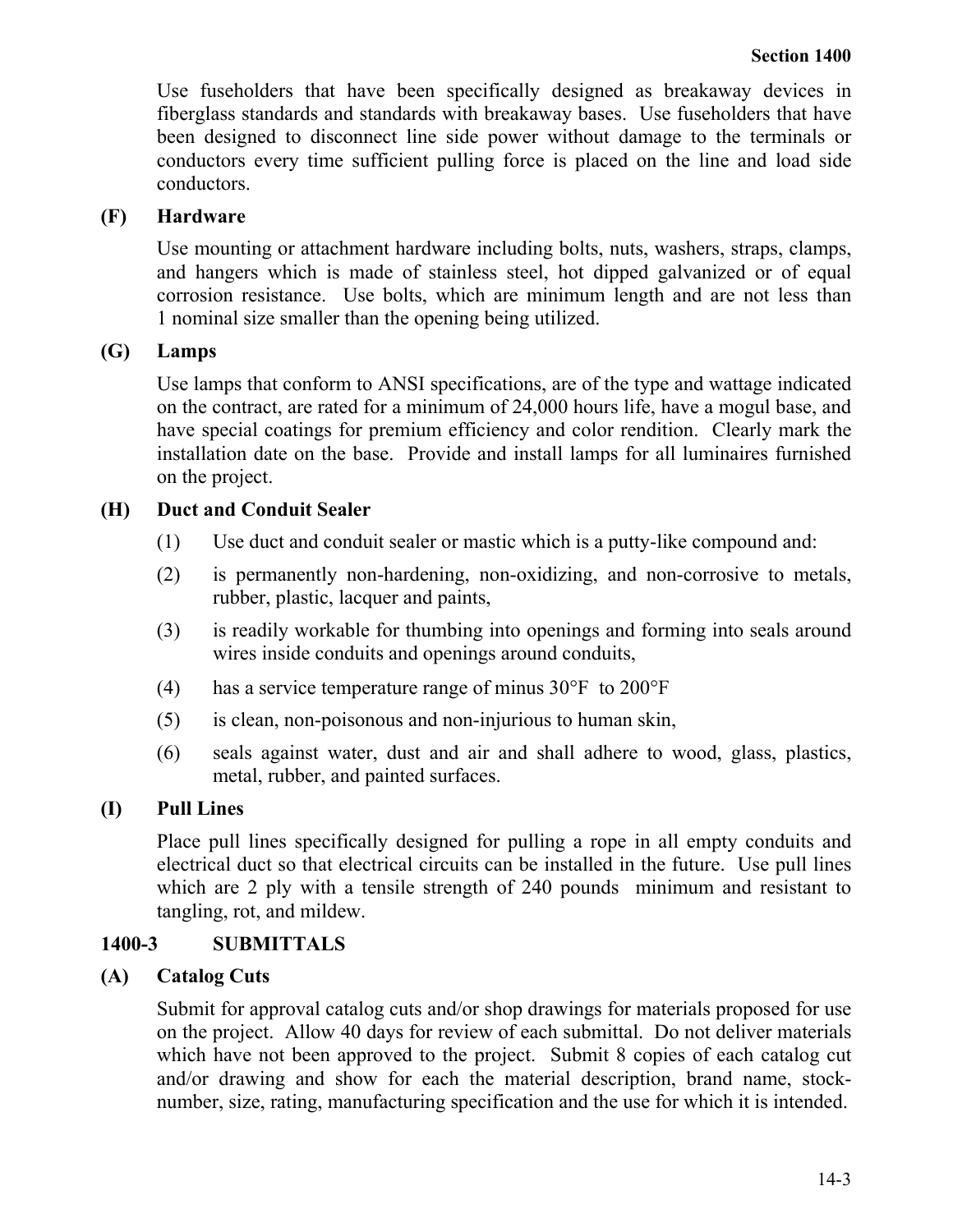Use fuseholders that have been specifically designed as breakaway devices in fiberglass standards and standards with breakaway bases. Use fuseholders that have been designed to disconnect line side power without damage to the terminals or conductors every time sufficient pulling force is placed on the line and load side conductors.

## **(F) Hardware**

Use mounting or attachment hardware including bolts, nuts, washers, straps, clamps, and hangers which is made of stainless steel, hot dipped galvanized or of equal corrosion resistance. Use bolts, which are minimum length and are not less than 1 nominal size smaller than the opening being utilized.

## **(G) Lamps**

Use lamps that conform to ANSI specifications, are of the type and wattage indicated on the contract, are rated for a minimum of 24,000 hours life, have a mogul base, and have special coatings for premium efficiency and color rendition. Clearly mark the installation date on the base. Provide and install lamps for all luminaires furnished on the project.

## **(H) Duct and Conduit Sealer**

- (1) Use duct and conduit sealer or mastic which is a putty-like compound and:
- (2) is permanently non-hardening, non-oxidizing, and non-corrosive to metals, rubber, plastic, lacquer and paints,
- (3) is readily workable for thumbing into openings and forming into seals around wires inside conduits and openings around conduits,
- (4) has a service temperature range of minus 30°F to 200°F
- (5) is clean, non-poisonous and non-injurious to human skin,
- (6) seals against water, dust and air and shall adhere to wood, glass, plastics, metal, rubber, and painted surfaces.

## **(I) Pull Lines**

Place pull lines specifically designed for pulling a rope in all empty conduits and electrical duct so that electrical circuits can be installed in the future. Use pull lines which are 2 ply with a tensile strength of 240 pounds minimum and resistant to tangling, rot, and mildew.

## **1400-3 SUBMITTALS**

## **(A) Catalog Cuts**

Submit for approval catalog cuts and/or shop drawings for materials proposed for use on the project. Allow 40 days for review of each submittal. Do not deliver materials which have not been approved to the project. Submit 8 copies of each catalog cut and/or drawing and show for each the material description, brand name, stocknumber, size, rating, manufacturing specification and the use for which it is intended.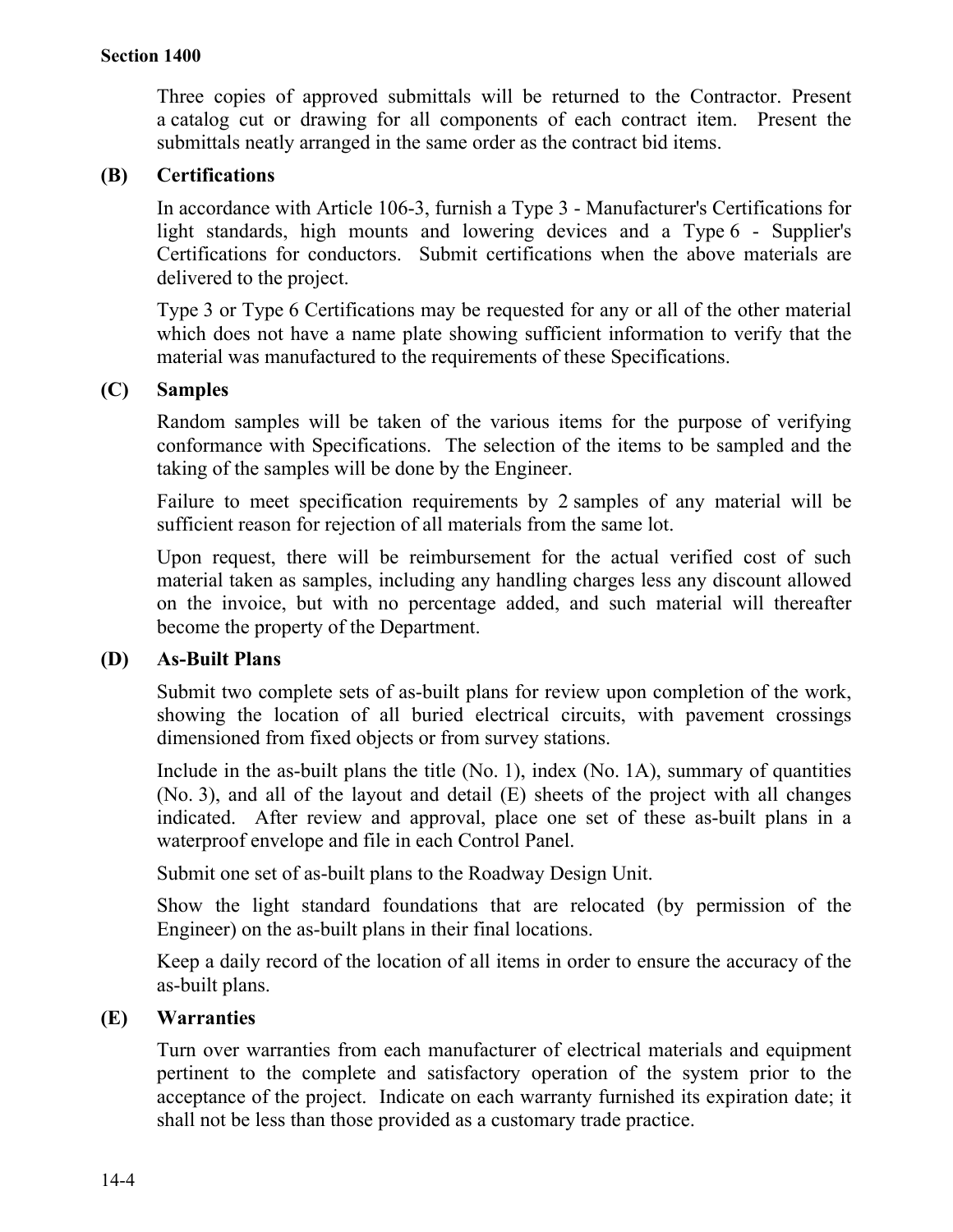Three copies of approved submittals will be returned to the Contractor. Present a catalog cut or drawing for all components of each contract item. Present the submittals neatly arranged in the same order as the contract bid items.

## **(B) Certifications**

In accordance with Article 106-3, furnish a Type 3 - Manufacturer's Certifications for light standards, high mounts and lowering devices and a Type 6 - Supplier's Certifications for conductors. Submit certifications when the above materials are delivered to the project.

Type 3 or Type 6 Certifications may be requested for any or all of the other material which does not have a name plate showing sufficient information to verify that the material was manufactured to the requirements of these Specifications.

## **(C) Samples**

Random samples will be taken of the various items for the purpose of verifying conformance with Specifications. The selection of the items to be sampled and the taking of the samples will be done by the Engineer.

Failure to meet specification requirements by 2 samples of any material will be sufficient reason for rejection of all materials from the same lot.

Upon request, there will be reimbursement for the actual verified cost of such material taken as samples, including any handling charges less any discount allowed on the invoice, but with no percentage added, and such material will thereafter become the property of the Department.

#### **(D) As-Built Plans**

Submit two complete sets of as-built plans for review upon completion of the work, showing the location of all buried electrical circuits, with pavement crossings dimensioned from fixed objects or from survey stations.

Include in the as-built plans the title (No. 1), index (No. 1A), summary of quantities (No. 3), and all of the layout and detail (E) sheets of the project with all changes indicated. After review and approval, place one set of these as-built plans in a waterproof envelope and file in each Control Panel.

Submit one set of as-built plans to the Roadway Design Unit.

Show the light standard foundations that are relocated (by permission of the Engineer) on the as-built plans in their final locations.

Keep a daily record of the location of all items in order to ensure the accuracy of the as-built plans.

#### **(E) Warranties**

Turn over warranties from each manufacturer of electrical materials and equipment pertinent to the complete and satisfactory operation of the system prior to the acceptance of the project. Indicate on each warranty furnished its expiration date; it shall not be less than those provided as a customary trade practice.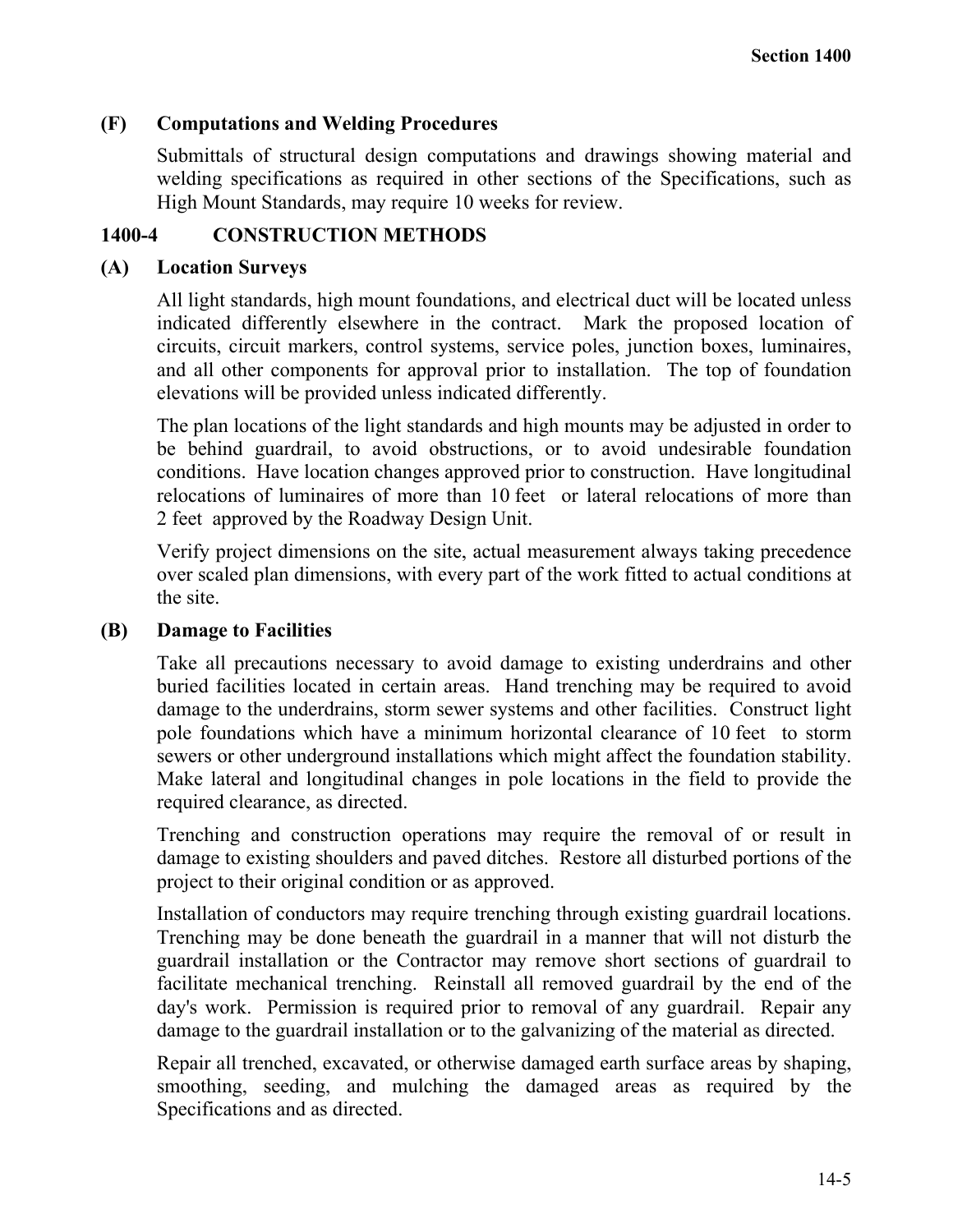## **(F) Computations and Welding Procedures**

Submittals of structural design computations and drawings showing material and welding specifications as required in other sections of the Specifications, such as High Mount Standards, may require 10 weeks for review.

## **1400-4 CONSTRUCTION METHODS**

## **(A) Location Surveys**

All light standards, high mount foundations, and electrical duct will be located unless indicated differently elsewhere in the contract. Mark the proposed location of circuits, circuit markers, control systems, service poles, junction boxes, luminaires, and all other components for approval prior to installation. The top of foundation elevations will be provided unless indicated differently.

The plan locations of the light standards and high mounts may be adjusted in order to be behind guardrail, to avoid obstructions, or to avoid undesirable foundation conditions. Have location changes approved prior to construction. Have longitudinal relocations of luminaires of more than 10 feet or lateral relocations of more than 2 feet approved by the Roadway Design Unit.

Verify project dimensions on the site, actual measurement always taking precedence over scaled plan dimensions, with every part of the work fitted to actual conditions at the site.

## **(B) Damage to Facilities**

Take all precautions necessary to avoid damage to existing underdrains and other buried facilities located in certain areas. Hand trenching may be required to avoid damage to the underdrains, storm sewer systems and other facilities. Construct light pole foundations which have a minimum horizontal clearance of 10 feet to storm sewers or other underground installations which might affect the foundation stability. Make lateral and longitudinal changes in pole locations in the field to provide the required clearance, as directed.

Trenching and construction operations may require the removal of or result in damage to existing shoulders and paved ditches. Restore all disturbed portions of the project to their original condition or as approved.

Installation of conductors may require trenching through existing guardrail locations. Trenching may be done beneath the guardrail in a manner that will not disturb the guardrail installation or the Contractor may remove short sections of guardrail to facilitate mechanical trenching. Reinstall all removed guardrail by the end of the day's work. Permission is required prior to removal of any guardrail. Repair any damage to the guardrail installation or to the galvanizing of the material as directed.

Repair all trenched, excavated, or otherwise damaged earth surface areas by shaping, smoothing, seeding, and mulching the damaged areas as required by the Specifications and as directed.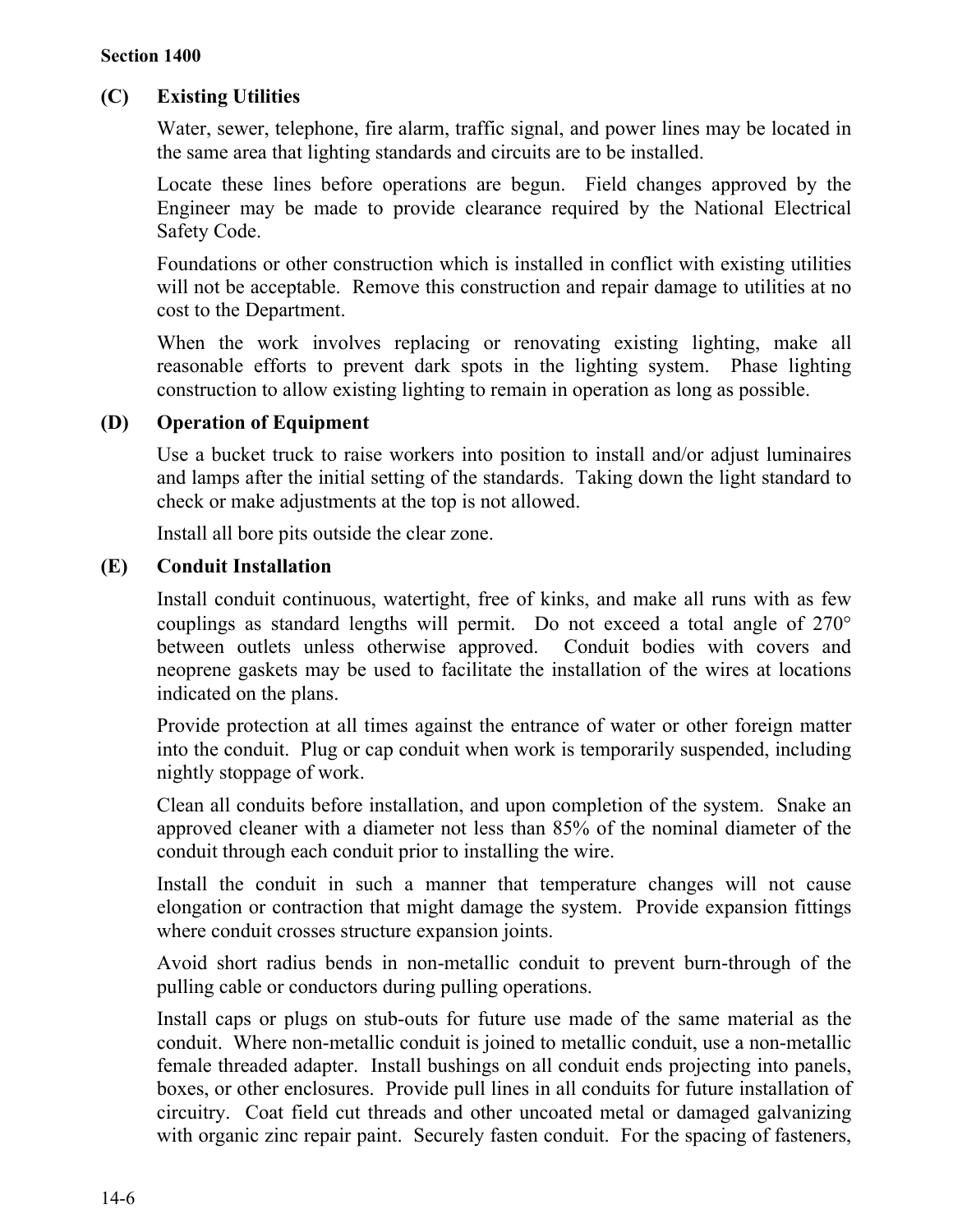## **(C) Existing Utilities**

Water, sewer, telephone, fire alarm, traffic signal, and power lines may be located in the same area that lighting standards and circuits are to be installed.

Locate these lines before operations are begun. Field changes approved by the Engineer may be made to provide clearance required by the National Electrical Safety Code.

Foundations or other construction which is installed in conflict with existing utilities will not be acceptable. Remove this construction and repair damage to utilities at no cost to the Department.

When the work involves replacing or renovating existing lighting, make all reasonable efforts to prevent dark spots in the lighting system. Phase lighting construction to allow existing lighting to remain in operation as long as possible.

## **(D) Operation of Equipment**

Use a bucket truck to raise workers into position to install and/or adjust luminaires and lamps after the initial setting of the standards. Taking down the light standard to check or make adjustments at the top is not allowed.

Install all bore pits outside the clear zone.

## **(E) Conduit Installation**

Install conduit continuous, watertight, free of kinks, and make all runs with as few couplings as standard lengths will permit. Do not exceed a total angle of 270° between outlets unless otherwise approved. Conduit bodies with covers and neoprene gaskets may be used to facilitate the installation of the wires at locations indicated on the plans.

Provide protection at all times against the entrance of water or other foreign matter into the conduit. Plug or cap conduit when work is temporarily suspended, including nightly stoppage of work.

Clean all conduits before installation, and upon completion of the system. Snake an approved cleaner with a diameter not less than 85% of the nominal diameter of the conduit through each conduit prior to installing the wire.

Install the conduit in such a manner that temperature changes will not cause elongation or contraction that might damage the system. Provide expansion fittings where conduit crosses structure expansion joints.

Avoid short radius bends in non-metallic conduit to prevent burn-through of the pulling cable or conductors during pulling operations.

Install caps or plugs on stub-outs for future use made of the same material as the conduit. Where non-metallic conduit is joined to metallic conduit, use a non-metallic female threaded adapter. Install bushings on all conduit ends projecting into panels, boxes, or other enclosures. Provide pull lines in all conduits for future installation of circuitry. Coat field cut threads and other uncoated metal or damaged galvanizing with organic zinc repair paint. Securely fasten conduit. For the spacing of fasteners,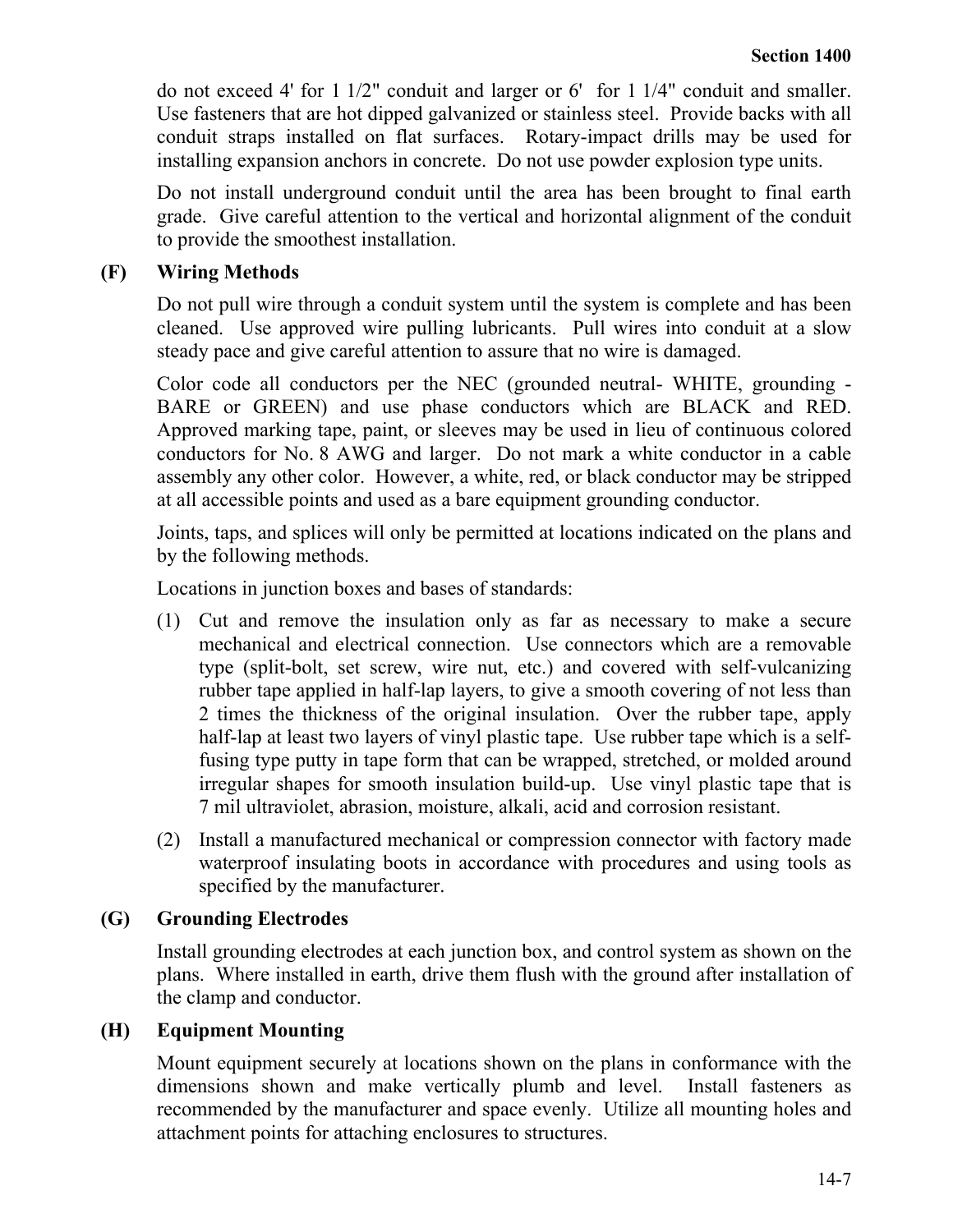do not exceed 4' for 1 1/2" conduit and larger or 6' for 1 1/4" conduit and smaller. Use fasteners that are hot dipped galvanized or stainless steel. Provide backs with all conduit straps installed on flat surfaces. Rotary-impact drills may be used for installing expansion anchors in concrete. Do not use powder explosion type units.

Do not install underground conduit until the area has been brought to final earth grade. Give careful attention to the vertical and horizontal alignment of the conduit to provide the smoothest installation.

## **(F) Wiring Methods**

Do not pull wire through a conduit system until the system is complete and has been cleaned. Use approved wire pulling lubricants. Pull wires into conduit at a slow steady pace and give careful attention to assure that no wire is damaged.

Color code all conductors per the NEC (grounded neutral- WHITE, grounding - BARE or GREEN) and use phase conductors which are BLACK and RED. Approved marking tape, paint, or sleeves may be used in lieu of continuous colored conductors for No. 8 AWG and larger. Do not mark a white conductor in a cable assembly any other color. However, a white, red, or black conductor may be stripped at all accessible points and used as a bare equipment grounding conductor.

Joints, taps, and splices will only be permitted at locations indicated on the plans and by the following methods.

Locations in junction boxes and bases of standards:

- (1) Cut and remove the insulation only as far as necessary to make a secure mechanical and electrical connection. Use connectors which are a removable type (split-bolt, set screw, wire nut, etc.) and covered with self-vulcanizing rubber tape applied in half-lap layers, to give a smooth covering of not less than 2 times the thickness of the original insulation. Over the rubber tape, apply half-lap at least two layers of vinyl plastic tape. Use rubber tape which is a selffusing type putty in tape form that can be wrapped, stretched, or molded around irregular shapes for smooth insulation build-up. Use vinyl plastic tape that is 7 mil ultraviolet, abrasion, moisture, alkali, acid and corrosion resistant.
- (2) Install a manufactured mechanical or compression connector with factory made waterproof insulating boots in accordance with procedures and using tools as specified by the manufacturer.

## **(G) Grounding Electrodes**

Install grounding electrodes at each junction box, and control system as shown on the plans. Where installed in earth, drive them flush with the ground after installation of the clamp and conductor.

#### **(H) Equipment Mounting**

Mount equipment securely at locations shown on the plans in conformance with the dimensions shown and make vertically plumb and level. Install fasteners as recommended by the manufacturer and space evenly. Utilize all mounting holes and attachment points for attaching enclosures to structures.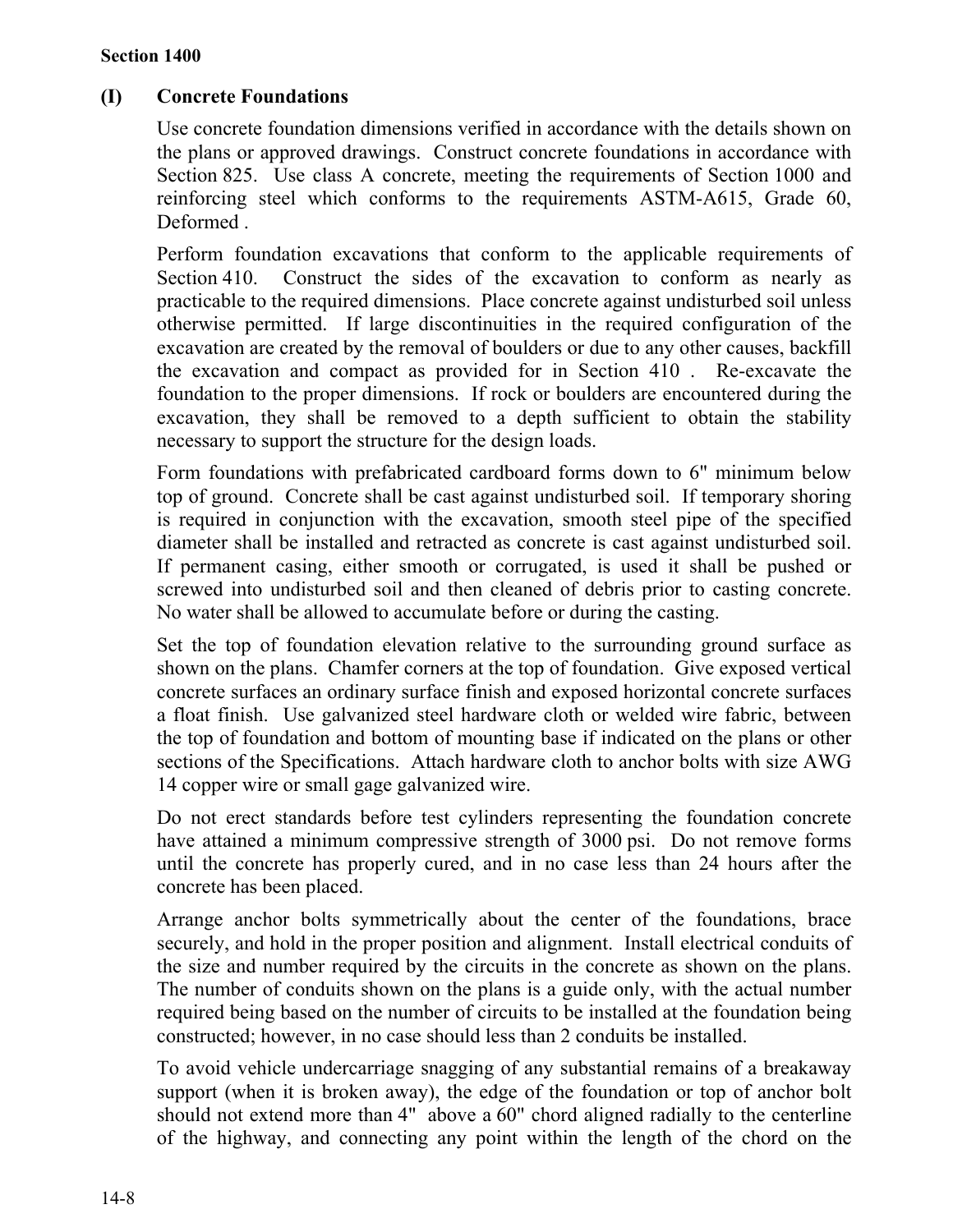## **(I) Concrete Foundations**

Use concrete foundation dimensions verified in accordance with the details shown on the plans or approved drawings. Construct concrete foundations in accordance with Section 825. Use class A concrete, meeting the requirements of Section 1000 and reinforcing steel which conforms to the requirements ASTM-A615, Grade 60, Deformed .

Perform foundation excavations that conform to the applicable requirements of Section 410. Construct the sides of the excavation to conform as nearly as practicable to the required dimensions. Place concrete against undisturbed soil unless otherwise permitted. If large discontinuities in the required configuration of the excavation are created by the removal of boulders or due to any other causes, backfill the excavation and compact as provided for in Section 410 . Re-excavate the foundation to the proper dimensions. If rock or boulders are encountered during the excavation, they shall be removed to a depth sufficient to obtain the stability necessary to support the structure for the design loads.

Form foundations with prefabricated cardboard forms down to 6" minimum below top of ground. Concrete shall be cast against undisturbed soil. If temporary shoring is required in conjunction with the excavation, smooth steel pipe of the specified diameter shall be installed and retracted as concrete is cast against undisturbed soil. If permanent casing, either smooth or corrugated, is used it shall be pushed or screwed into undisturbed soil and then cleaned of debris prior to casting concrete. No water shall be allowed to accumulate before or during the casting.

Set the top of foundation elevation relative to the surrounding ground surface as shown on the plans. Chamfer corners at the top of foundation. Give exposed vertical concrete surfaces an ordinary surface finish and exposed horizontal concrete surfaces a float finish. Use galvanized steel hardware cloth or welded wire fabric, between the top of foundation and bottom of mounting base if indicated on the plans or other sections of the Specifications. Attach hardware cloth to anchor bolts with size AWG 14 copper wire or small gage galvanized wire.

Do not erect standards before test cylinders representing the foundation concrete have attained a minimum compressive strength of 3000 psi. Do not remove forms until the concrete has properly cured, and in no case less than 24 hours after the concrete has been placed.

Arrange anchor bolts symmetrically about the center of the foundations, brace securely, and hold in the proper position and alignment. Install electrical conduits of the size and number required by the circuits in the concrete as shown on the plans. The number of conduits shown on the plans is a guide only, with the actual number required being based on the number of circuits to be installed at the foundation being constructed; however, in no case should less than 2 conduits be installed.

To avoid vehicle undercarriage snagging of any substantial remains of a breakaway support (when it is broken away), the edge of the foundation or top of anchor bolt should not extend more than 4" above a 60" chord aligned radially to the centerline of the highway, and connecting any point within the length of the chord on the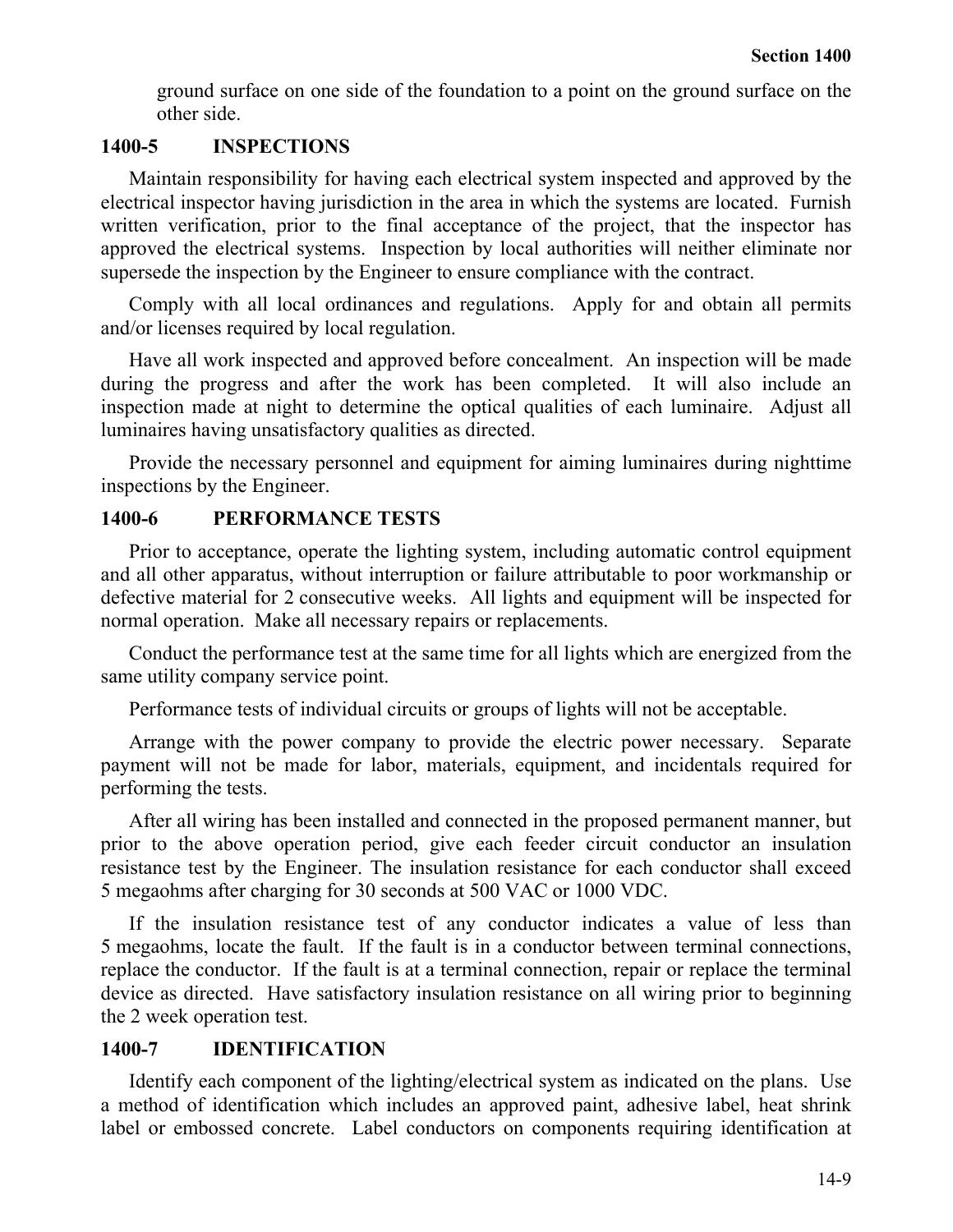ground surface on one side of the foundation to a point on the ground surface on the other side.

### **1400-5 INSPECTIONS**

Maintain responsibility for having each electrical system inspected and approved by the electrical inspector having jurisdiction in the area in which the systems are located. Furnish written verification, prior to the final acceptance of the project, that the inspector has approved the electrical systems. Inspection by local authorities will neither eliminate nor supersede the inspection by the Engineer to ensure compliance with the contract.

Comply with all local ordinances and regulations. Apply for and obtain all permits and/or licenses required by local regulation.

Have all work inspected and approved before concealment. An inspection will be made during the progress and after the work has been completed. It will also include an inspection made at night to determine the optical qualities of each luminaire. Adjust all luminaires having unsatisfactory qualities as directed.

Provide the necessary personnel and equipment for aiming luminaires during nighttime inspections by the Engineer.

#### **1400-6 PERFORMANCE TESTS**

Prior to acceptance, operate the lighting system, including automatic control equipment and all other apparatus, without interruption or failure attributable to poor workmanship or defective material for 2 consecutive weeks. All lights and equipment will be inspected for normal operation. Make all necessary repairs or replacements.

Conduct the performance test at the same time for all lights which are energized from the same utility company service point.

Performance tests of individual circuits or groups of lights will not be acceptable.

Arrange with the power company to provide the electric power necessary. Separate payment will not be made for labor, materials, equipment, and incidentals required for performing the tests.

After all wiring has been installed and connected in the proposed permanent manner, but prior to the above operation period, give each feeder circuit conductor an insulation resistance test by the Engineer. The insulation resistance for each conductor shall exceed 5 megaohms after charging for 30 seconds at 500 VAC or 1000 VDC.

If the insulation resistance test of any conductor indicates a value of less than 5 megaohms, locate the fault. If the fault is in a conductor between terminal connections, replace the conductor. If the fault is at a terminal connection, repair or replace the terminal device as directed. Have satisfactory insulation resistance on all wiring prior to beginning the 2 week operation test.

#### **1400-7 IDENTIFICATION**

Identify each component of the lighting/electrical system as indicated on the plans. Use a method of identification which includes an approved paint, adhesive label, heat shrink label or embossed concrete. Label conductors on components requiring identification at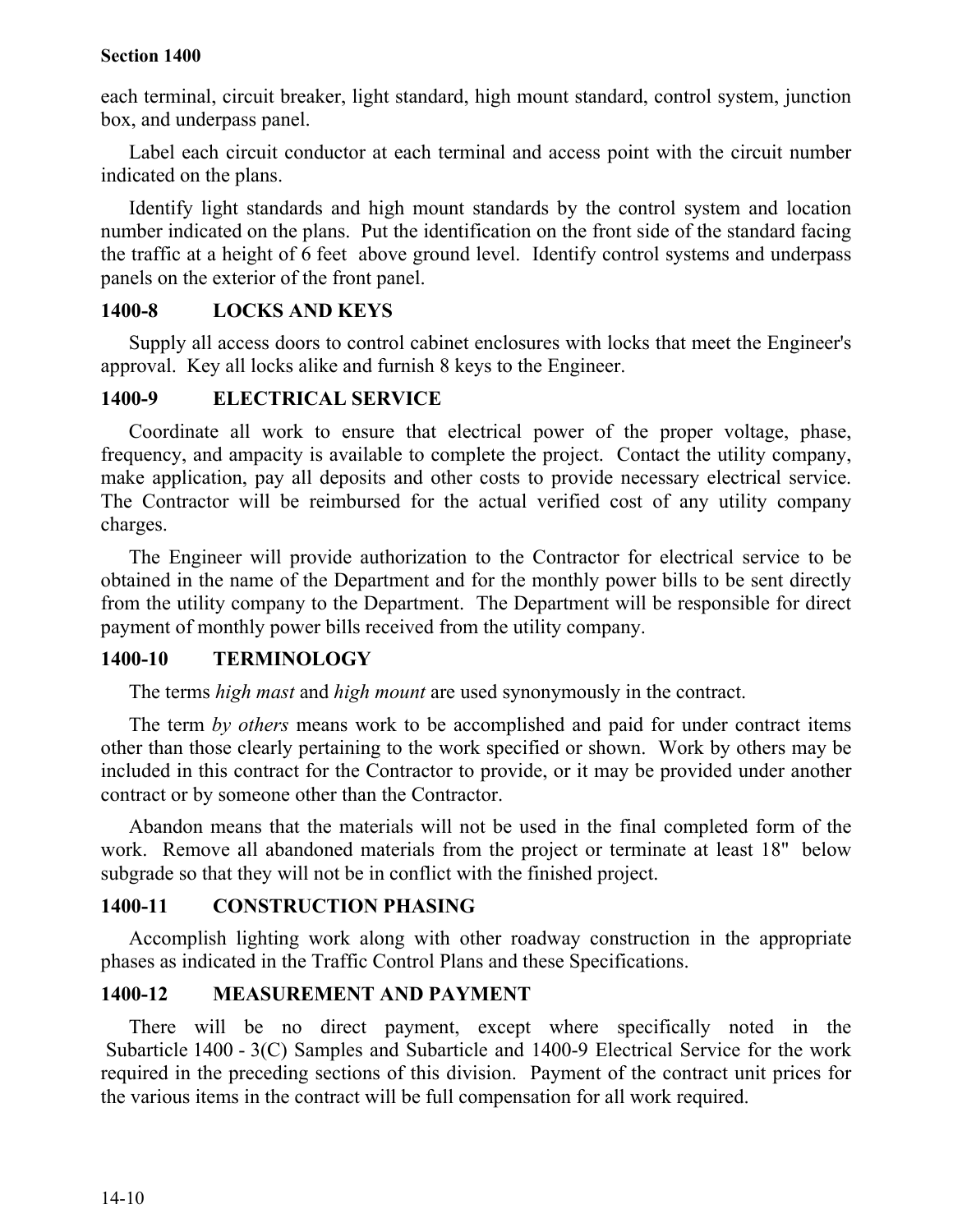each terminal, circuit breaker, light standard, high mount standard, control system, junction box, and underpass panel.

Label each circuit conductor at each terminal and access point with the circuit number indicated on the plans.

Identify light standards and high mount standards by the control system and location number indicated on the plans. Put the identification on the front side of the standard facing the traffic at a height of 6 feet above ground level. Identify control systems and underpass panels on the exterior of the front panel.

## **1400-8 LOCKS AND KEYS**

Supply all access doors to control cabinet enclosures with locks that meet the Engineer's approval. Key all locks alike and furnish 8 keys to the Engineer.

## **1400-9 ELECTRICAL SERVICE**

Coordinate all work to ensure that electrical power of the proper voltage, phase, frequency, and ampacity is available to complete the project. Contact the utility company, make application, pay all deposits and other costs to provide necessary electrical service. The Contractor will be reimbursed for the actual verified cost of any utility company charges.

The Engineer will provide authorization to the Contractor for electrical service to be obtained in the name of the Department and for the monthly power bills to be sent directly from the utility company to the Department. The Department will be responsible for direct payment of monthly power bills received from the utility company.

## **1400-10 TERMINOLOGY**

The terms *high mast* and *high mount* are used synonymously in the contract.

The term *by others* means work to be accomplished and paid for under contract items other than those clearly pertaining to the work specified or shown. Work by others may be included in this contract for the Contractor to provide, or it may be provided under another contract or by someone other than the Contractor.

Abandon means that the materials will not be used in the final completed form of the work. Remove all abandoned materials from the project or terminate at least 18" below subgrade so that they will not be in conflict with the finished project.

## **1400-11 CONSTRUCTION PHASING**

Accomplish lighting work along with other roadway construction in the appropriate phases as indicated in the Traffic Control Plans and these Specifications.

## **1400-12 MEASUREMENT AND PAYMENT**

There will be no direct payment, except where specifically noted in the Subarticle 1400 - 3(C) Samples and Subarticle and 1400-9 Electrical Service for the work required in the preceding sections of this division. Payment of the contract unit prices for the various items in the contract will be full compensation for all work required.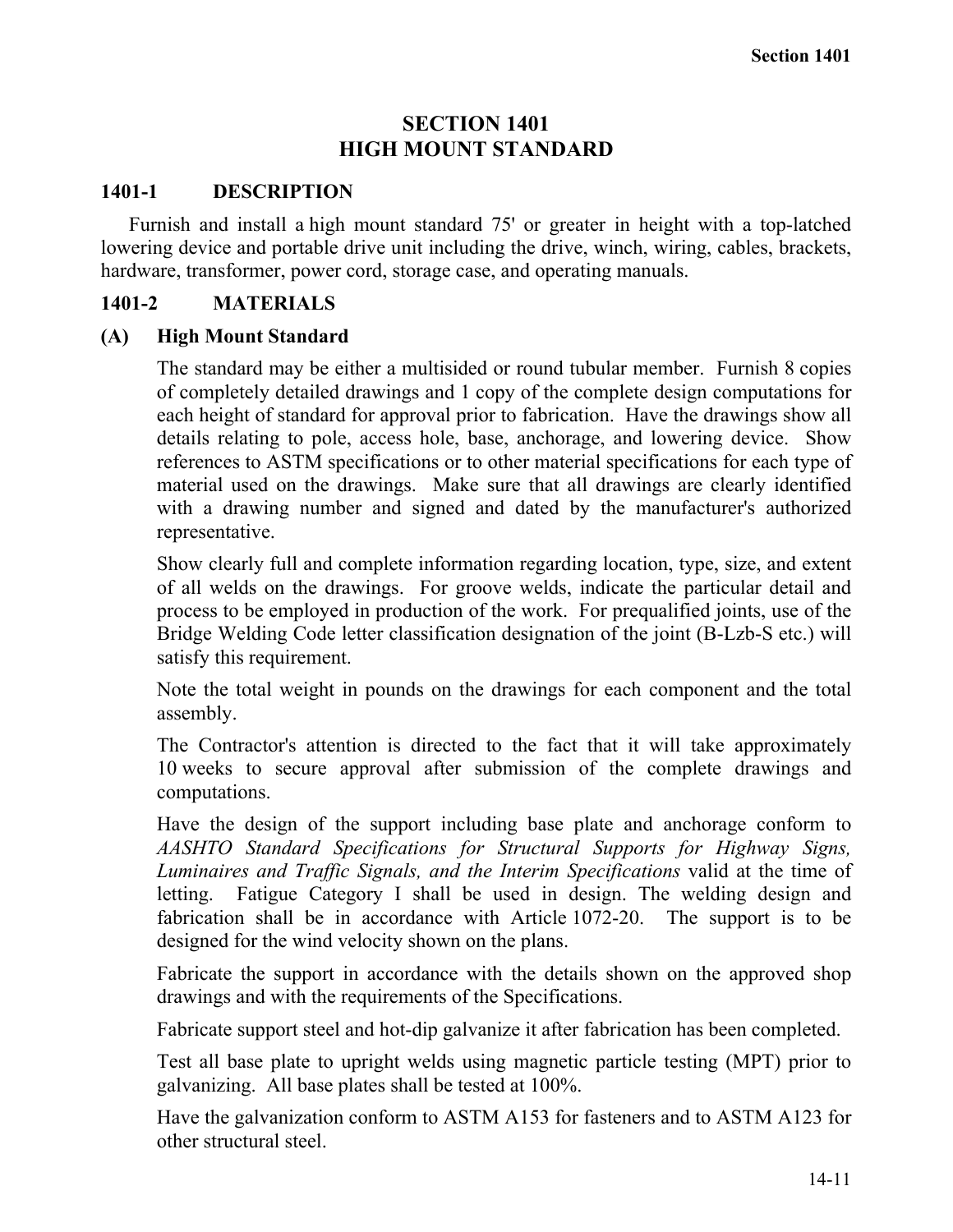## **SECTION 1401 HIGH MOUNT STANDARD**

### **1401-1 DESCRIPTION**

Furnish and install a high mount standard 75' or greater in height with a top-latched lowering device and portable drive unit including the drive, winch, wiring, cables, brackets, hardware, transformer, power cord, storage case, and operating manuals.

## **1401-2 MATERIALS**

## **(A) High Mount Standard**

The standard may be either a multisided or round tubular member. Furnish 8 copies of completely detailed drawings and 1 copy of the complete design computations for each height of standard for approval prior to fabrication. Have the drawings show all details relating to pole, access hole, base, anchorage, and lowering device. Show references to ASTM specifications or to other material specifications for each type of material used on the drawings. Make sure that all drawings are clearly identified with a drawing number and signed and dated by the manufacturer's authorized representative.

Show clearly full and complete information regarding location, type, size, and extent of all welds on the drawings. For groove welds, indicate the particular detail and process to be employed in production of the work. For prequalified joints, use of the Bridge Welding Code letter classification designation of the joint (B-Lzb-S etc.) will satisfy this requirement.

Note the total weight in pounds on the drawings for each component and the total assembly.

The Contractor's attention is directed to the fact that it will take approximately 10 weeks to secure approval after submission of the complete drawings and computations.

Have the design of the support including base plate and anchorage conform to *AASHTO Standard Specifications for Structural Supports for Highway Signs, Luminaires and Traffic Signals, and the Interim Specifications* valid at the time of letting. Fatigue Category I shall be used in design. The welding design and fabrication shall be in accordance with Article 1072-20. The support is to be designed for the wind velocity shown on the plans.

Fabricate the support in accordance with the details shown on the approved shop drawings and with the requirements of the Specifications.

Fabricate support steel and hot-dip galvanize it after fabrication has been completed.

Test all base plate to upright welds using magnetic particle testing (MPT) prior to galvanizing. All base plates shall be tested at 100%.

Have the galvanization conform to ASTM A153 for fasteners and to ASTM A123 for other structural steel.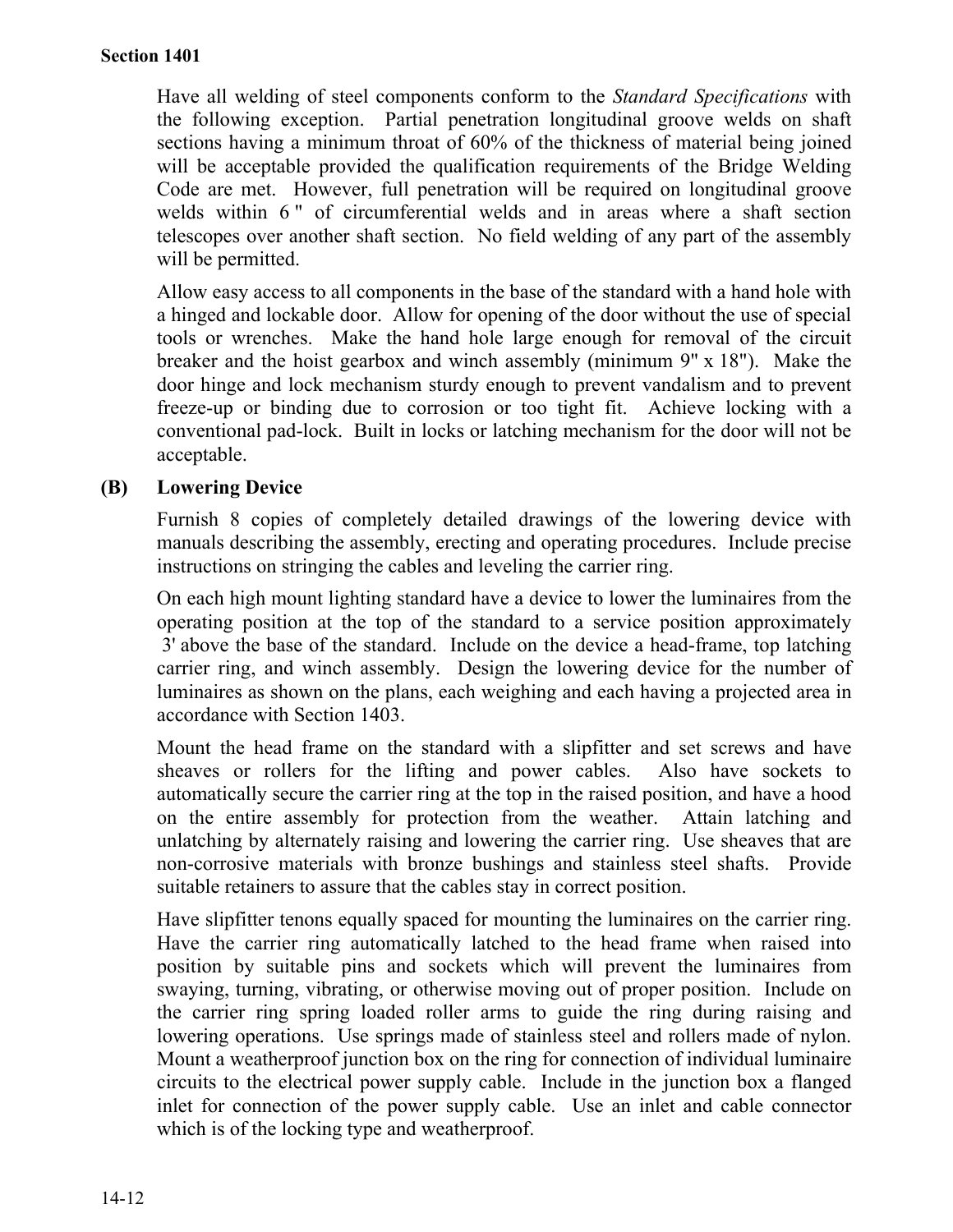Have all welding of steel components conform to the *Standard Specifications* with the following exception. Partial penetration longitudinal groove welds on shaft sections having a minimum throat of 60% of the thickness of material being joined will be acceptable provided the qualification requirements of the Bridge Welding Code are met. However, full penetration will be required on longitudinal groove welds within 6" of circumferential welds and in areas where a shaft section telescopes over another shaft section. No field welding of any part of the assembly will be permitted.

Allow easy access to all components in the base of the standard with a hand hole with a hinged and lockable door. Allow for opening of the door without the use of special tools or wrenches. Make the hand hole large enough for removal of the circuit breaker and the hoist gearbox and winch assembly (minimum 9" x 18"). Make the door hinge and lock mechanism sturdy enough to prevent vandalism and to prevent freeze-up or binding due to corrosion or too tight fit. Achieve locking with a conventional pad-lock. Built in locks or latching mechanism for the door will not be acceptable.

## **(B) Lowering Device**

Furnish 8 copies of completely detailed drawings of the lowering device with manuals describing the assembly, erecting and operating procedures. Include precise instructions on stringing the cables and leveling the carrier ring.

On each high mount lighting standard have a device to lower the luminaires from the operating position at the top of the standard to a service position approximately 3' above the base of the standard. Include on the device a head-frame, top latching carrier ring, and winch assembly. Design the lowering device for the number of luminaires as shown on the plans, each weighing and each having a projected area in accordance with Section 1403.

Mount the head frame on the standard with a slipfitter and set screws and have sheaves or rollers for the lifting and power cables. Also have sockets to automatically secure the carrier ring at the top in the raised position, and have a hood on the entire assembly for protection from the weather. Attain latching and unlatching by alternately raising and lowering the carrier ring. Use sheaves that are non-corrosive materials with bronze bushings and stainless steel shafts. Provide suitable retainers to assure that the cables stay in correct position.

Have slipfitter tenons equally spaced for mounting the luminaires on the carrier ring. Have the carrier ring automatically latched to the head frame when raised into position by suitable pins and sockets which will prevent the luminaires from swaying, turning, vibrating, or otherwise moving out of proper position. Include on the carrier ring spring loaded roller arms to guide the ring during raising and lowering operations. Use springs made of stainless steel and rollers made of nylon. Mount a weatherproof junction box on the ring for connection of individual luminaire circuits to the electrical power supply cable. Include in the junction box a flanged inlet for connection of the power supply cable. Use an inlet and cable connector which is of the locking type and weatherproof.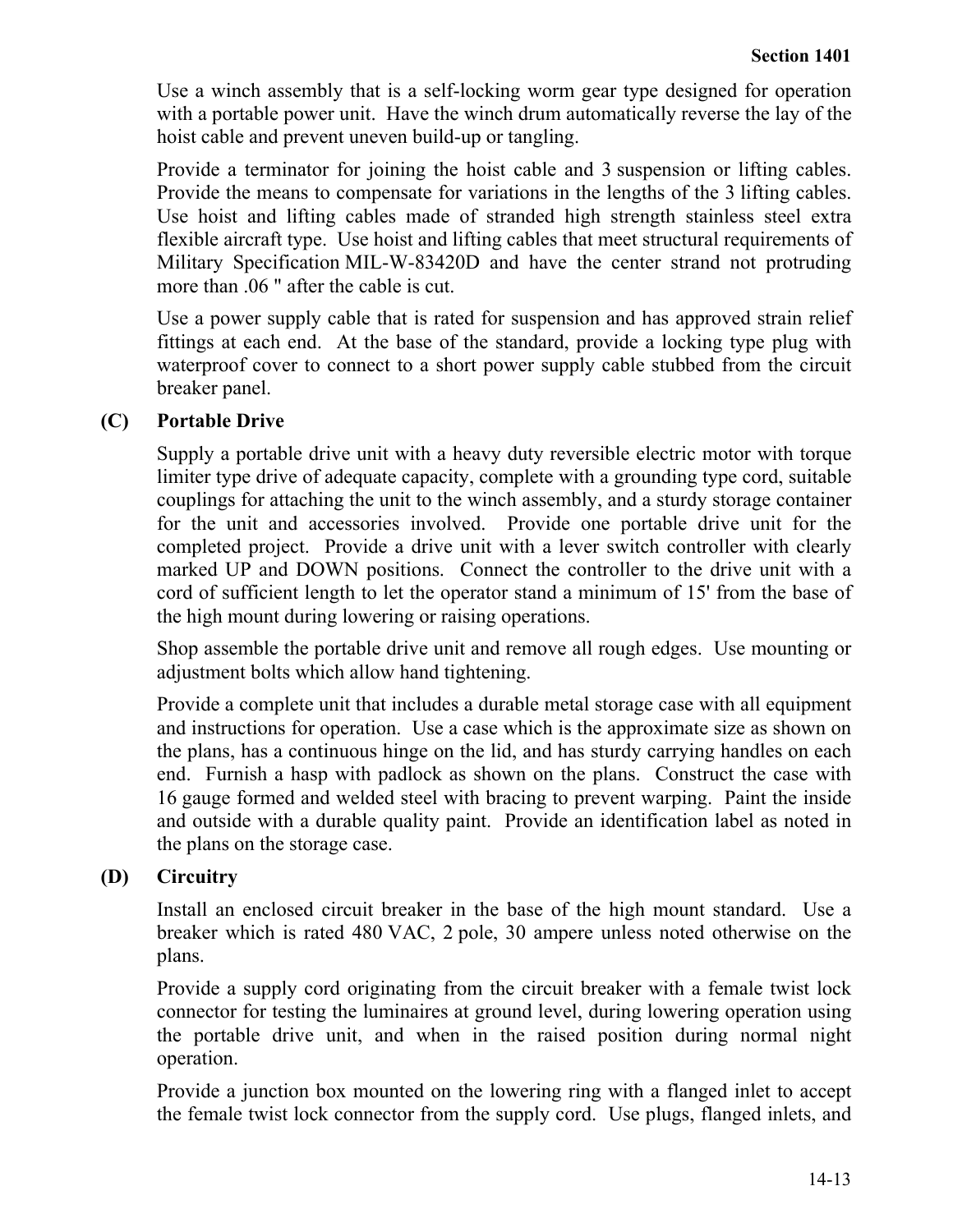Use a winch assembly that is a self-locking worm gear type designed for operation with a portable power unit. Have the winch drum automatically reverse the lay of the hoist cable and prevent uneven build-up or tangling.

Provide a terminator for joining the hoist cable and 3 suspension or lifting cables. Provide the means to compensate for variations in the lengths of the 3 lifting cables. Use hoist and lifting cables made of stranded high strength stainless steel extra flexible aircraft type. Use hoist and lifting cables that meet structural requirements of Military Specification MIL-W-83420D and have the center strand not protruding more than .06 " after the cable is cut.

Use a power supply cable that is rated for suspension and has approved strain relief fittings at each end. At the base of the standard, provide a locking type plug with waterproof cover to connect to a short power supply cable stubbed from the circuit breaker panel.

## **(C) Portable Drive**

Supply a portable drive unit with a heavy duty reversible electric motor with torque limiter type drive of adequate capacity, complete with a grounding type cord, suitable couplings for attaching the unit to the winch assembly, and a sturdy storage container for the unit and accessories involved. Provide one portable drive unit for the completed project. Provide a drive unit with a lever switch controller with clearly marked UP and DOWN positions. Connect the controller to the drive unit with a cord of sufficient length to let the operator stand a minimum of 15' from the base of the high mount during lowering or raising operations.

Shop assemble the portable drive unit and remove all rough edges. Use mounting or adjustment bolts which allow hand tightening.

Provide a complete unit that includes a durable metal storage case with all equipment and instructions for operation. Use a case which is the approximate size as shown on the plans, has a continuous hinge on the lid, and has sturdy carrying handles on each end. Furnish a hasp with padlock as shown on the plans. Construct the case with 16 gauge formed and welded steel with bracing to prevent warping. Paint the inside and outside with a durable quality paint. Provide an identification label as noted in the plans on the storage case.

## **(D) Circuitry**

Install an enclosed circuit breaker in the base of the high mount standard. Use a breaker which is rated 480 VAC, 2 pole, 30 ampere unless noted otherwise on the plans.

Provide a supply cord originating from the circuit breaker with a female twist lock connector for testing the luminaires at ground level, during lowering operation using the portable drive unit, and when in the raised position during normal night operation.

Provide a junction box mounted on the lowering ring with a flanged inlet to accept the female twist lock connector from the supply cord. Use plugs, flanged inlets, and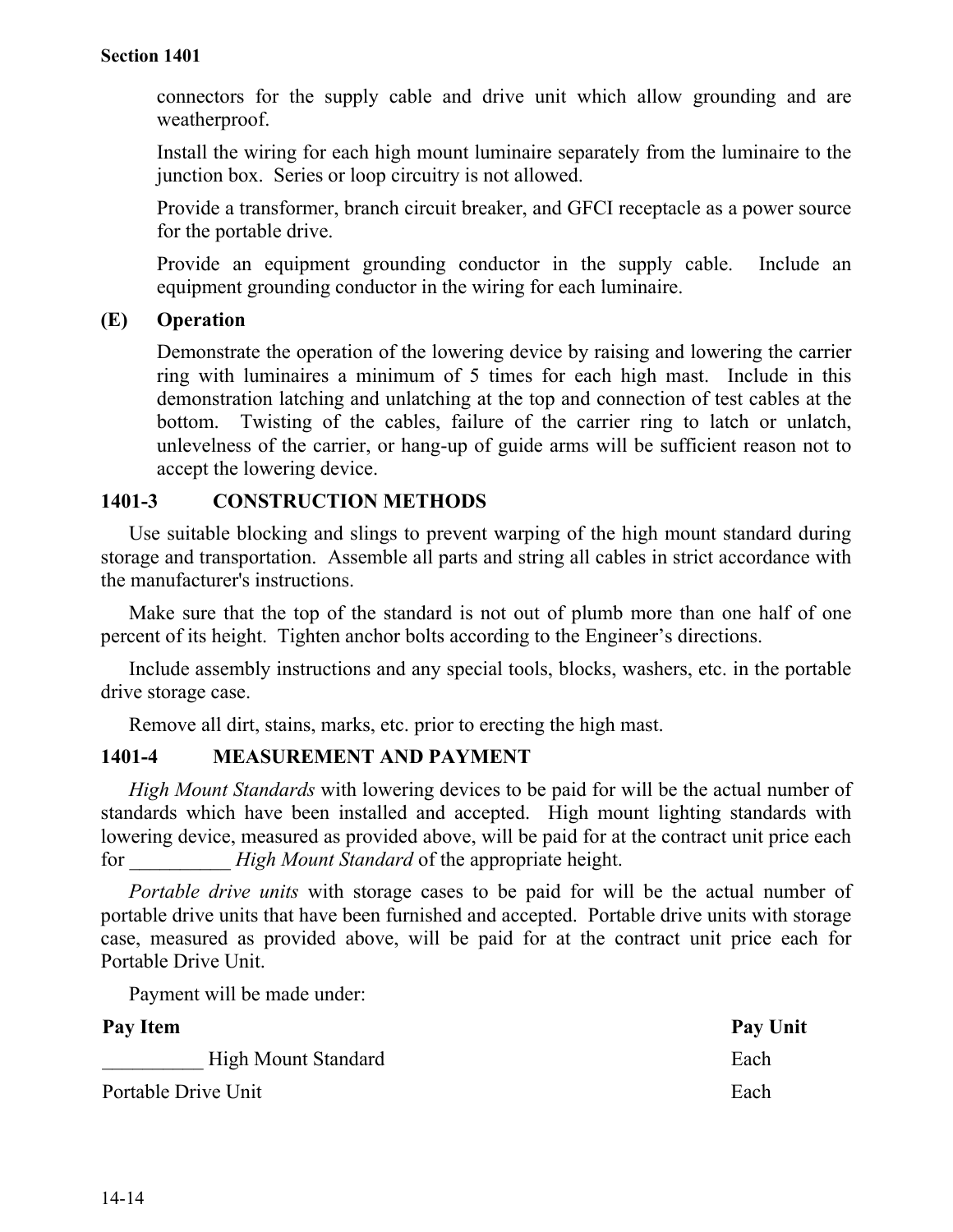connectors for the supply cable and drive unit which allow grounding and are weatherproof.

Install the wiring for each high mount luminaire separately from the luminaire to the junction box. Series or loop circuitry is not allowed.

Provide a transformer, branch circuit breaker, and GFCI receptacle as a power source for the portable drive.

Provide an equipment grounding conductor in the supply cable. Include an equipment grounding conductor in the wiring for each luminaire.

## **(E) Operation**

Demonstrate the operation of the lowering device by raising and lowering the carrier ring with luminaires a minimum of 5 times for each high mast. Include in this demonstration latching and unlatching at the top and connection of test cables at the bottom. Twisting of the cables, failure of the carrier ring to latch or unlatch, unlevelness of the carrier, or hang-up of guide arms will be sufficient reason not to accept the lowering device.

## **1401-3 CONSTRUCTION METHODS**

Use suitable blocking and slings to prevent warping of the high mount standard during storage and transportation. Assemble all parts and string all cables in strict accordance with the manufacturer's instructions.

Make sure that the top of the standard is not out of plumb more than one half of one percent of its height. Tighten anchor bolts according to the Engineer's directions.

Include assembly instructions and any special tools, blocks, washers, etc. in the portable drive storage case.

Remove all dirt, stains, marks, etc. prior to erecting the high mast.

## **1401-4 MEASUREMENT AND PAYMENT**

*High Mount Standards* with lowering devices to be paid for will be the actual number of standards which have been installed and accepted. High mount lighting standards with lowering device, measured as provided above, will be paid for at the contract unit price each for *High Mount Standard* of the appropriate height.

*Portable drive units* with storage cases to be paid for will be the actual number of portable drive units that have been furnished and accepted. Portable drive units with storage case, measured as provided above, will be paid for at the contract unit price each for Portable Drive Unit.

Payment will be made under:

| Pay Item                   | Pay Unit |
|----------------------------|----------|
| <b>High Mount Standard</b> | Each     |
| Portable Drive Unit        | Each     |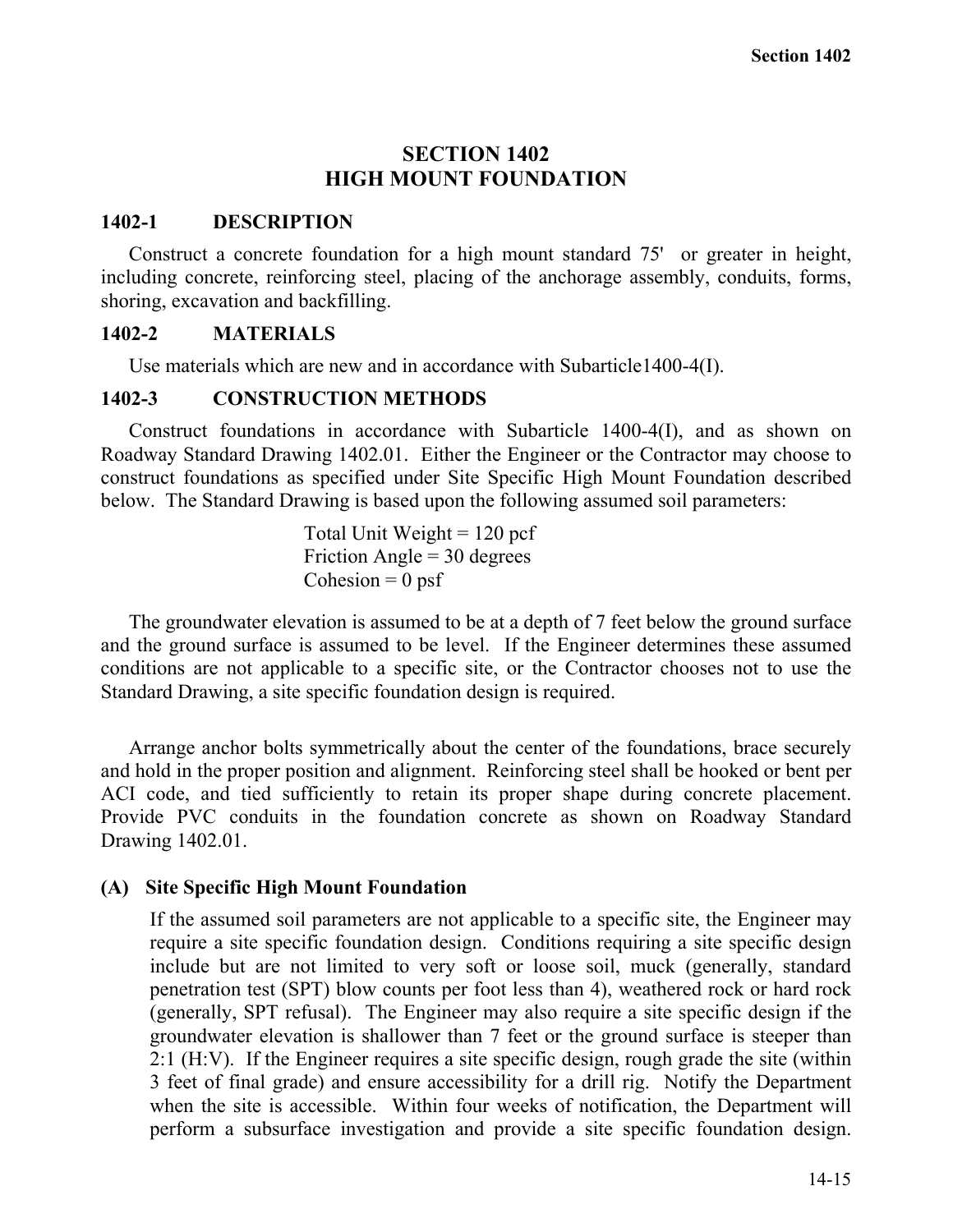## **SECTION 1402 HIGH MOUNT FOUNDATION**

## **1402-1 DESCRIPTION**

Construct a concrete foundation for a high mount standard 75' or greater in height, including concrete, reinforcing steel, placing of the anchorage assembly, conduits, forms, shoring, excavation and backfilling.

## **1402-2 MATERIALS**

Use materials which are new and in accordance with Subarticle1400-4(I).

## **1402-3 CONSTRUCTION METHODS**

Construct foundations in accordance with Subarticle 1400-4(I), and as shown on Roadway Standard Drawing 1402.01. Either the Engineer or the Contractor may choose to construct foundations as specified under Site Specific High Mount Foundation described below. The Standard Drawing is based upon the following assumed soil parameters:

> Total Unit Weight  $= 120$  pcf Friction Angle  $=$  30 degrees Cohesion  $= 0$  psf

The groundwater elevation is assumed to be at a depth of 7 feet below the ground surface and the ground surface is assumed to be level. If the Engineer determines these assumed conditions are not applicable to a specific site, or the Contractor chooses not to use the Standard Drawing, a site specific foundation design is required.

Arrange anchor bolts symmetrically about the center of the foundations, brace securely and hold in the proper position and alignment. Reinforcing steel shall be hooked or bent per ACI code, and tied sufficiently to retain its proper shape during concrete placement. Provide PVC conduits in the foundation concrete as shown on Roadway Standard Drawing 1402.01.

## **(A) Site Specific High Mount Foundation**

If the assumed soil parameters are not applicable to a specific site, the Engineer may require a site specific foundation design. Conditions requiring a site specific design include but are not limited to very soft or loose soil, muck (generally, standard penetration test (SPT) blow counts per foot less than 4), weathered rock or hard rock (generally, SPT refusal). The Engineer may also require a site specific design if the groundwater elevation is shallower than 7 feet or the ground surface is steeper than 2:1 (H:V). If the Engineer requires a site specific design, rough grade the site (within 3 feet of final grade) and ensure accessibility for a drill rig. Notify the Department when the site is accessible. Within four weeks of notification, the Department will perform a subsurface investigation and provide a site specific foundation design.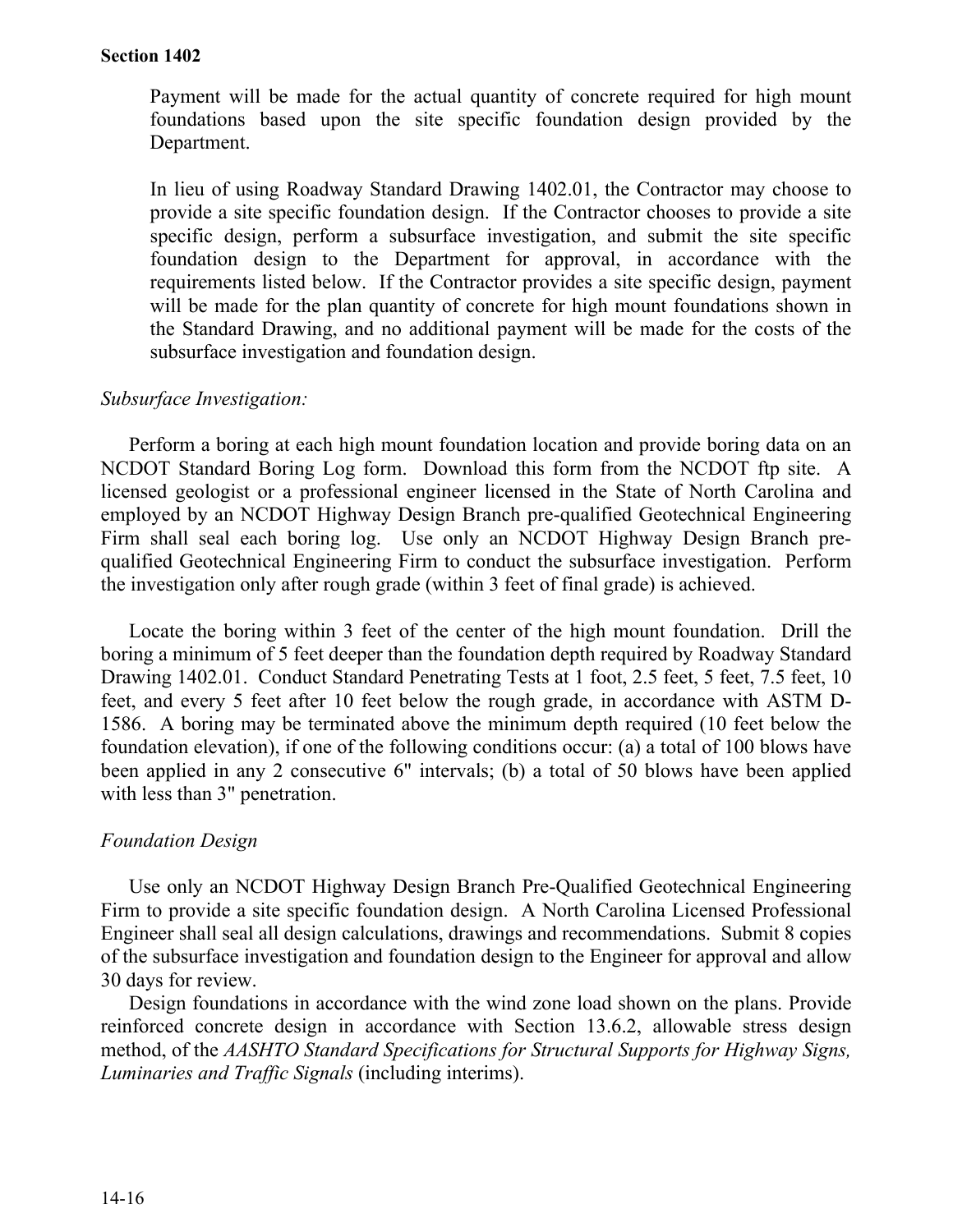Payment will be made for the actual quantity of concrete required for high mount foundations based upon the site specific foundation design provided by the Department.

In lieu of using Roadway Standard Drawing 1402.01, the Contractor may choose to provide a site specific foundation design. If the Contractor chooses to provide a site specific design, perform a subsurface investigation, and submit the site specific foundation design to the Department for approval, in accordance with the requirements listed below. If the Contractor provides a site specific design, payment will be made for the plan quantity of concrete for high mount foundations shown in the Standard Drawing, and no additional payment will be made for the costs of the subsurface investigation and foundation design.

#### *Subsurface Investigation:*

Perform a boring at each high mount foundation location and provide boring data on an NCDOT Standard Boring Log form. Download this form from the NCDOT ftp site. A licensed geologist or a professional engineer licensed in the State of North Carolina and employed by an NCDOT Highway Design Branch pre-qualified Geotechnical Engineering Firm shall seal each boring log. Use only an NCDOT Highway Design Branch prequalified Geotechnical Engineering Firm to conduct the subsurface investigation. Perform the investigation only after rough grade (within 3 feet of final grade) is achieved.

Locate the boring within 3 feet of the center of the high mount foundation. Drill the boring a minimum of 5 feet deeper than the foundation depth required by Roadway Standard Drawing 1402.01. Conduct Standard Penetrating Tests at 1 foot, 2.5 feet, 5 feet, 7.5 feet, 10 feet, and every 5 feet after 10 feet below the rough grade, in accordance with ASTM D-1586. A boring may be terminated above the minimum depth required (10 feet below the foundation elevation), if one of the following conditions occur: (a) a total of 100 blows have been applied in any 2 consecutive 6" intervals; (b) a total of 50 blows have been applied with less than 3" penetration.

#### *Foundation Design*

Use only an NCDOT Highway Design Branch Pre-Qualified Geotechnical Engineering Firm to provide a site specific foundation design. A North Carolina Licensed Professional Engineer shall seal all design calculations, drawings and recommendations. Submit 8 copies of the subsurface investigation and foundation design to the Engineer for approval and allow 30 days for review.

Design foundations in accordance with the wind zone load shown on the plans. Provide reinforced concrete design in accordance with Section 13.6.2, allowable stress design method, of the *AASHTO Standard Specifications for Structural Supports for Highway Signs, Luminaries and Traffic Signals* (including interims).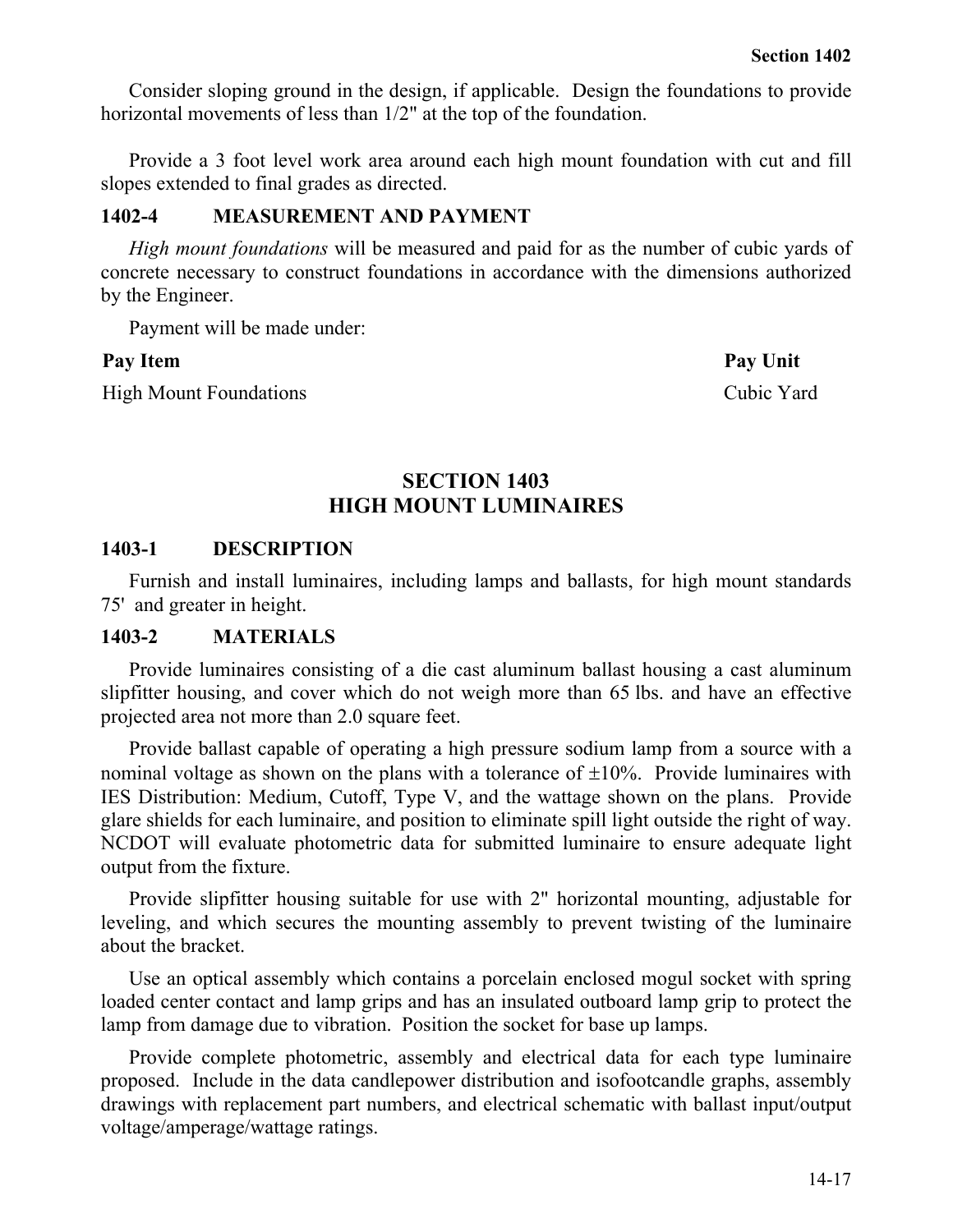Consider sloping ground in the design, if applicable. Design the foundations to provide horizontal movements of less than 1/2" at the top of the foundation.

Provide a 3 foot level work area around each high mount foundation with cut and fill slopes extended to final grades as directed.

## **1402-4 MEASUREMENT AND PAYMENT**

*High mount foundations* will be measured and paid for as the number of cubic yards of concrete necessary to construct foundations in accordance with the dimensions authorized by the Engineer.

Payment will be made under:

High Mount Foundations Cubic Yard

Pay Item Pay Unit

## **SECTION 1403 HIGH MOUNT LUMINAIRES**

## **1403-1 DESCRIPTION**

Furnish and install luminaires, including lamps and ballasts, for high mount standards 75' and greater in height.

### **1403-2 MATERIALS**

Provide luminaires consisting of a die cast aluminum ballast housing a cast aluminum slipfitter housing, and cover which do not weigh more than 65 lbs. and have an effective projected area not more than 2.0 square feet.

Provide ballast capable of operating a high pressure sodium lamp from a source with a nominal voltage as shown on the plans with a tolerance of  $\pm 10\%$ . Provide luminaires with IES Distribution: Medium, Cutoff, Type V, and the wattage shown on the plans. Provide glare shields for each luminaire, and position to eliminate spill light outside the right of way. NCDOT will evaluate photometric data for submitted luminaire to ensure adequate light output from the fixture.

Provide slipfitter housing suitable for use with 2" horizontal mounting, adjustable for leveling, and which secures the mounting assembly to prevent twisting of the luminaire about the bracket.

Use an optical assembly which contains a porcelain enclosed mogul socket with spring loaded center contact and lamp grips and has an insulated outboard lamp grip to protect the lamp from damage due to vibration. Position the socket for base up lamps.

Provide complete photometric, assembly and electrical data for each type luminaire proposed. Include in the data candlepower distribution and isofootcandle graphs, assembly drawings with replacement part numbers, and electrical schematic with ballast input/output voltage/amperage/wattage ratings.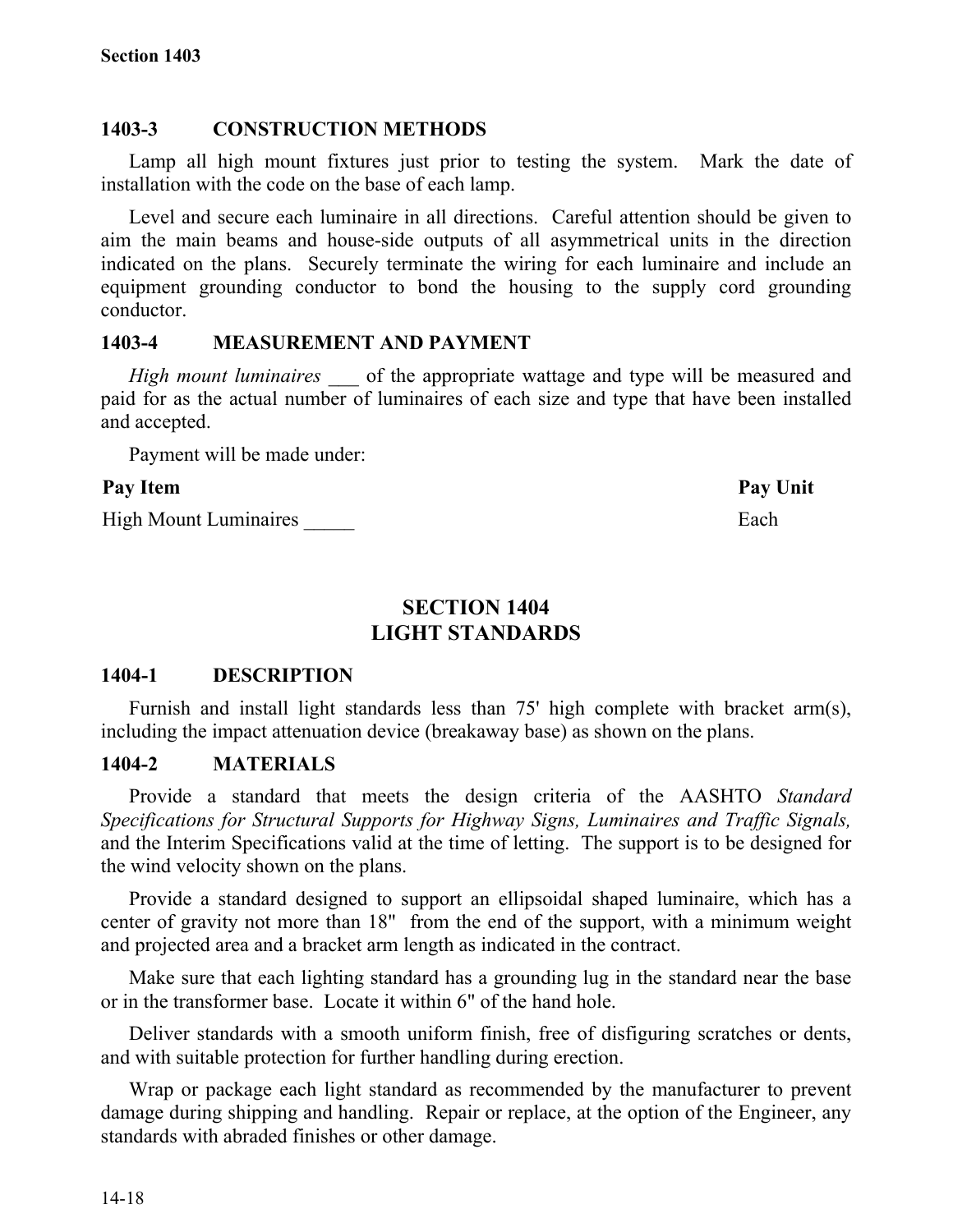## **1403-3 CONSTRUCTION METHODS**

Lamp all high mount fixtures just prior to testing the system. Mark the date of installation with the code on the base of each lamp.

Level and secure each luminaire in all directions. Careful attention should be given to aim the main beams and house-side outputs of all asymmetrical units in the direction indicated on the plans. Securely terminate the wiring for each luminaire and include an equipment grounding conductor to bond the housing to the supply cord grounding conductor.

## **1403-4 MEASUREMENT AND PAYMENT**

*High mount luminaires* of the appropriate wattage and type will be measured and paid for as the actual number of luminaires of each size and type that have been installed and accepted.

Payment will be made under:

## Pay Item **Pay Unit**

High Mount Luminaires **Each** 

## **SECTION 1404 LIGHT STANDARDS**

## **1404-1 DESCRIPTION**

Furnish and install light standards less than 75' high complete with bracket arm(s), including the impact attenuation device (breakaway base) as shown on the plans.

## **1404-2 MATERIALS**

Provide a standard that meets the design criteria of the AASHTO *Standard Specifications for Structural Supports for Highway Signs, Luminaires and Traffic Signals,* and the Interim Specifications valid at the time of letting. The support is to be designed for the wind velocity shown on the plans.

Provide a standard designed to support an ellipsoidal shaped luminaire, which has a center of gravity not more than 18" from the end of the support, with a minimum weight and projected area and a bracket arm length as indicated in the contract.

Make sure that each lighting standard has a grounding lug in the standard near the base or in the transformer base. Locate it within 6" of the hand hole.

Deliver standards with a smooth uniform finish, free of disfiguring scratches or dents, and with suitable protection for further handling during erection.

Wrap or package each light standard as recommended by the manufacturer to prevent damage during shipping and handling. Repair or replace, at the option of the Engineer, any standards with abraded finishes or other damage.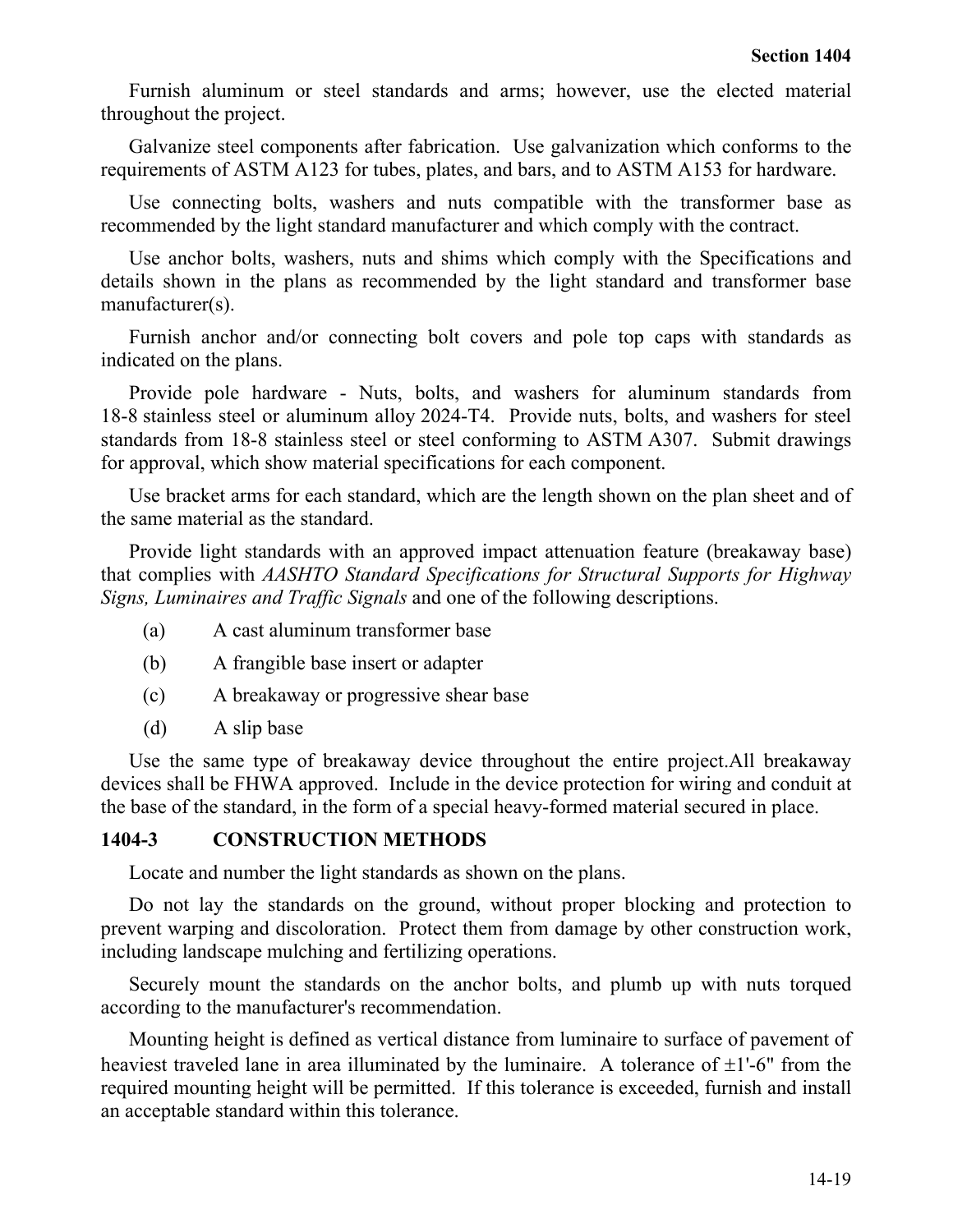Furnish aluminum or steel standards and arms; however, use the elected material throughout the project.

Galvanize steel components after fabrication. Use galvanization which conforms to the requirements of ASTM A123 for tubes, plates, and bars, and to ASTM A153 for hardware.

Use connecting bolts, washers and nuts compatible with the transformer base as recommended by the light standard manufacturer and which comply with the contract.

Use anchor bolts, washers, nuts and shims which comply with the Specifications and details shown in the plans as recommended by the light standard and transformer base manufacturer(s).

Furnish anchor and/or connecting bolt covers and pole top caps with standards as indicated on the plans.

Provide pole hardware - Nuts, bolts, and washers for aluminum standards from 18-8 stainless steel or aluminum alloy 2024-T4. Provide nuts, bolts, and washers for steel standards from 18-8 stainless steel or steel conforming to ASTM A307. Submit drawings for approval, which show material specifications for each component.

Use bracket arms for each standard, which are the length shown on the plan sheet and of the same material as the standard.

Provide light standards with an approved impact attenuation feature (breakaway base) that complies with *AASHTO Standard Specifications for Structural Supports for Highway Signs, Luminaires and Traffic Signals* and one of the following descriptions.

- (a) A cast aluminum transformer base
- (b) A frangible base insert or adapter
- (c) A breakaway or progressive shear base
- (d) A slip base

Use the same type of breakaway device throughout the entire project.All breakaway devices shall be FHWA approved. Include in the device protection for wiring and conduit at the base of the standard, in the form of a special heavy-formed material secured in place.

## **1404-3 CONSTRUCTION METHODS**

Locate and number the light standards as shown on the plans.

Do not lay the standards on the ground, without proper blocking and protection to prevent warping and discoloration. Protect them from damage by other construction work, including landscape mulching and fertilizing operations.

Securely mount the standards on the anchor bolts, and plumb up with nuts torqued according to the manufacturer's recommendation.

Mounting height is defined as vertical distance from luminaire to surface of pavement of heaviest traveled lane in area illuminated by the luminaire. A tolerance of  $\pm 1$ '-6" from the required mounting height will be permitted. If this tolerance is exceeded, furnish and install an acceptable standard within this tolerance.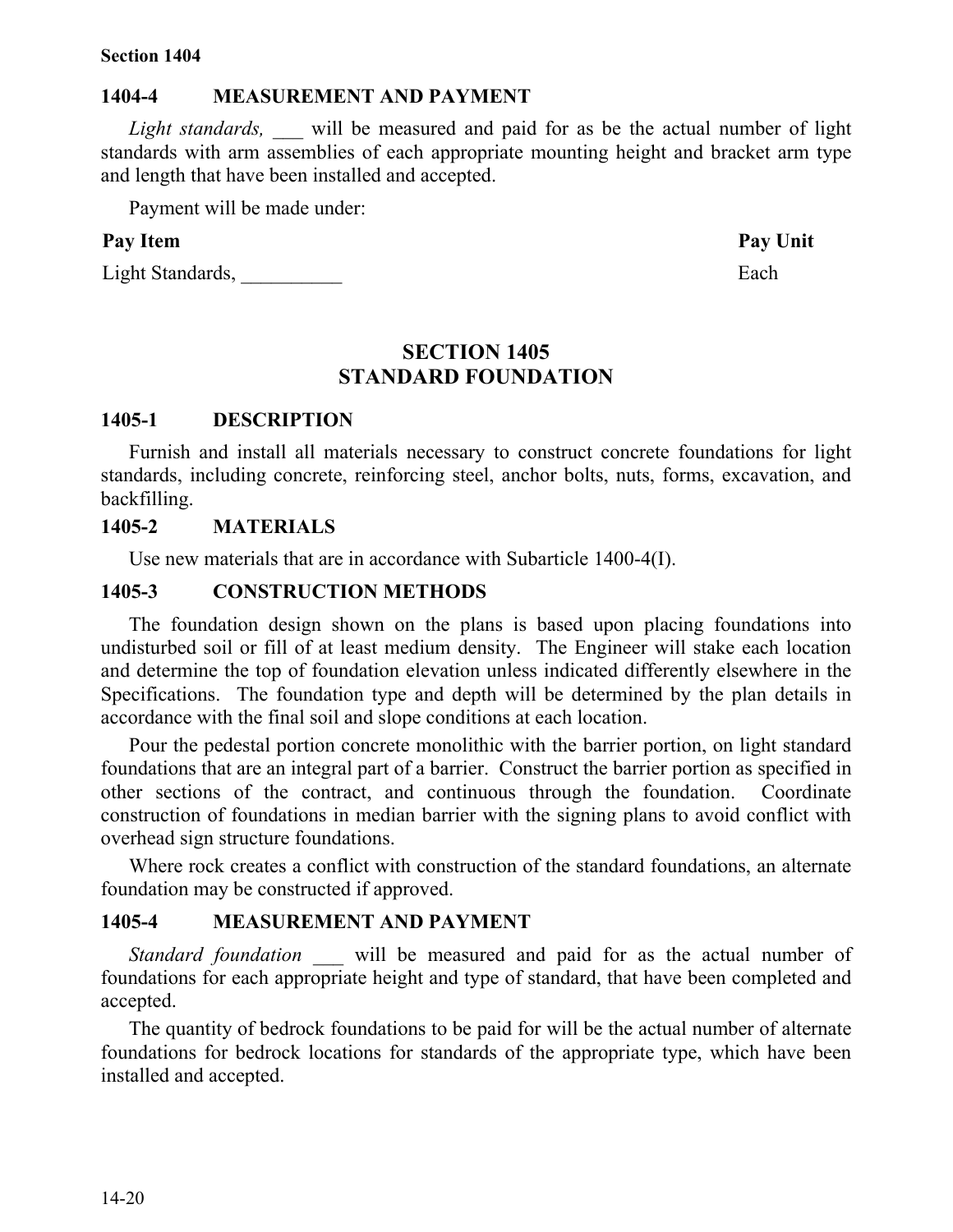#### **1404-4 MEASUREMENT AND PAYMENT**

*Light standards,* will be measured and paid for as be the actual number of light standards with arm assemblies of each appropriate mounting height and bracket arm type and length that have been installed and accepted.

Payment will be made under:

#### **Pay Item Pay Unit**

Light Standards, Each

## **SECTION 1405 STANDARD FOUNDATION**

#### **1405-1 DESCRIPTION**

Furnish and install all materials necessary to construct concrete foundations for light standards, including concrete, reinforcing steel, anchor bolts, nuts, forms, excavation, and backfilling.

#### **1405-2 MATERIALS**

Use new materials that are in accordance with Subarticle 1400-4(I).

## **1405-3 CONSTRUCTION METHODS**

The foundation design shown on the plans is based upon placing foundations into undisturbed soil or fill of at least medium density. The Engineer will stake each location and determine the top of foundation elevation unless indicated differently elsewhere in the Specifications. The foundation type and depth will be determined by the plan details in accordance with the final soil and slope conditions at each location.

Pour the pedestal portion concrete monolithic with the barrier portion, on light standard foundations that are an integral part of a barrier. Construct the barrier portion as specified in other sections of the contract, and continuous through the foundation. Coordinate construction of foundations in median barrier with the signing plans to avoid conflict with overhead sign structure foundations.

Where rock creates a conflict with construction of the standard foundations, an alternate foundation may be constructed if approved.

#### **1405-4 MEASUREMENT AND PAYMENT**

*Standard foundation* will be measured and paid for as the actual number of foundations for each appropriate height and type of standard, that have been completed and accepted.

The quantity of bedrock foundations to be paid for will be the actual number of alternate foundations for bedrock locations for standards of the appropriate type, which have been installed and accepted.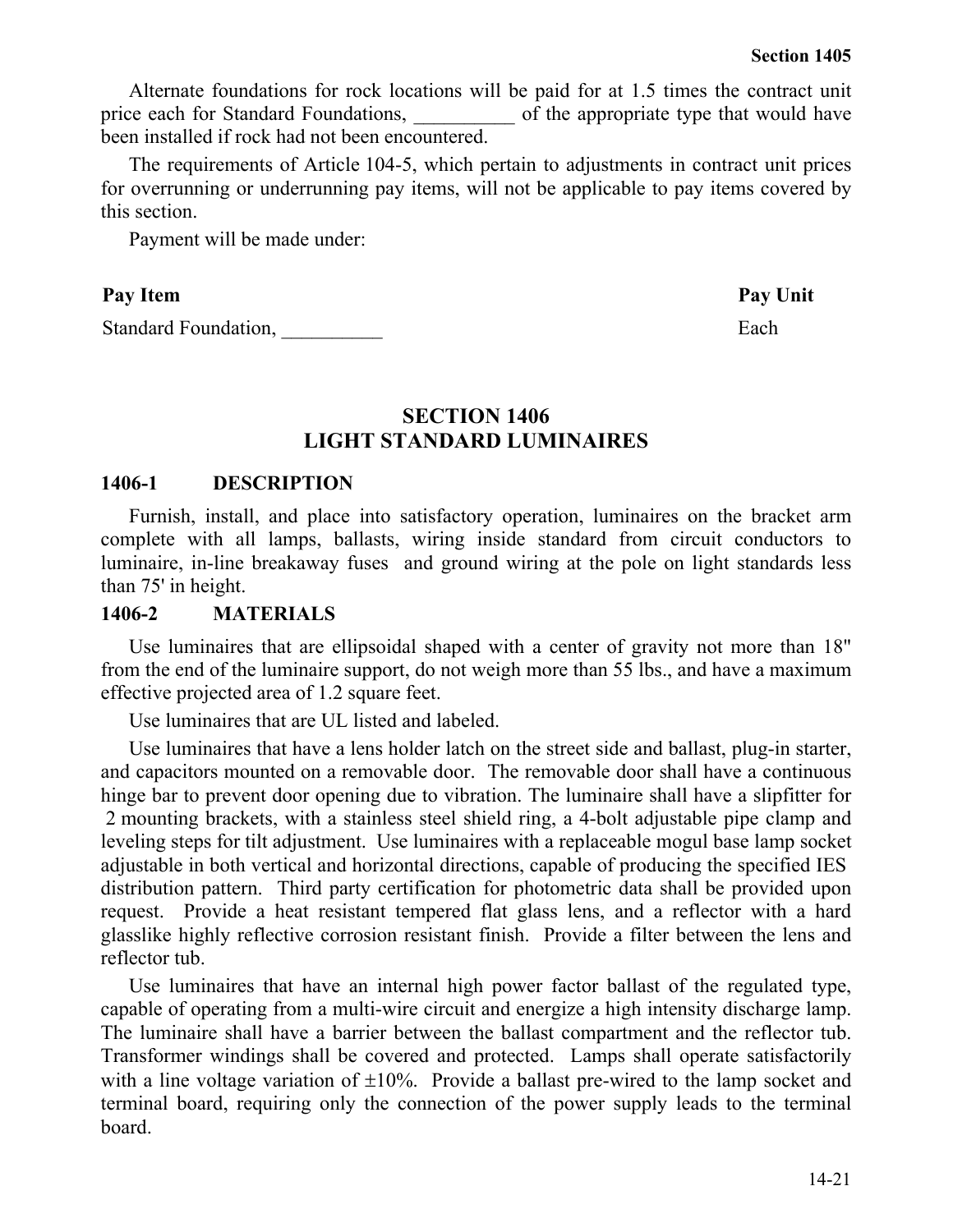Alternate foundations for rock locations will be paid for at 1.5 times the contract unit price each for Standard Foundations,  $\qquad \qquad$  of the appropriate type that would have been installed if rock had not been encountered.

The requirements of Article 104-5, which pertain to adjustments in contract unit prices for overrunning or underrunning pay items, will not be applicable to pay items covered by this section.

Payment will be made under:

#### Pay Item **Pay Unit**

Standard Foundation, Each

## **SECTION 1406 LIGHT STANDARD LUMINAIRES**

#### **1406-1 DESCRIPTION**

Furnish, install, and place into satisfactory operation, luminaires on the bracket arm complete with all lamps, ballasts, wiring inside standard from circuit conductors to luminaire, in-line breakaway fuses and ground wiring at the pole on light standards less than 75' in height.

#### **1406-2 MATERIALS**

Use luminaires that are ellipsoidal shaped with a center of gravity not more than 18" from the end of the luminaire support, do not weigh more than 55 lbs., and have a maximum effective projected area of 1.2 square feet.

Use luminaires that are UL listed and labeled.

Use luminaires that have a lens holder latch on the street side and ballast, plug-in starter, and capacitors mounted on a removable door. The removable door shall have a continuous hinge bar to prevent door opening due to vibration. The luminaire shall have a slipfitter for 2 mounting brackets, with a stainless steel shield ring, a 4-bolt adjustable pipe clamp and leveling steps for tilt adjustment. Use luminaires with a replaceable mogul base lamp socket adjustable in both vertical and horizontal directions, capable of producing the specified IES distribution pattern. Third party certification for photometric data shall be provided upon request. Provide a heat resistant tempered flat glass lens, and a reflector with a hard glasslike highly reflective corrosion resistant finish. Provide a filter between the lens and reflector tub.

Use luminaires that have an internal high power factor ballast of the regulated type, capable of operating from a multi-wire circuit and energize a high intensity discharge lamp. The luminaire shall have a barrier between the ballast compartment and the reflector tub. Transformer windings shall be covered and protected. Lamps shall operate satisfactorily with a line voltage variation of  $\pm 10\%$ . Provide a ballast pre-wired to the lamp socket and terminal board, requiring only the connection of the power supply leads to the terminal board.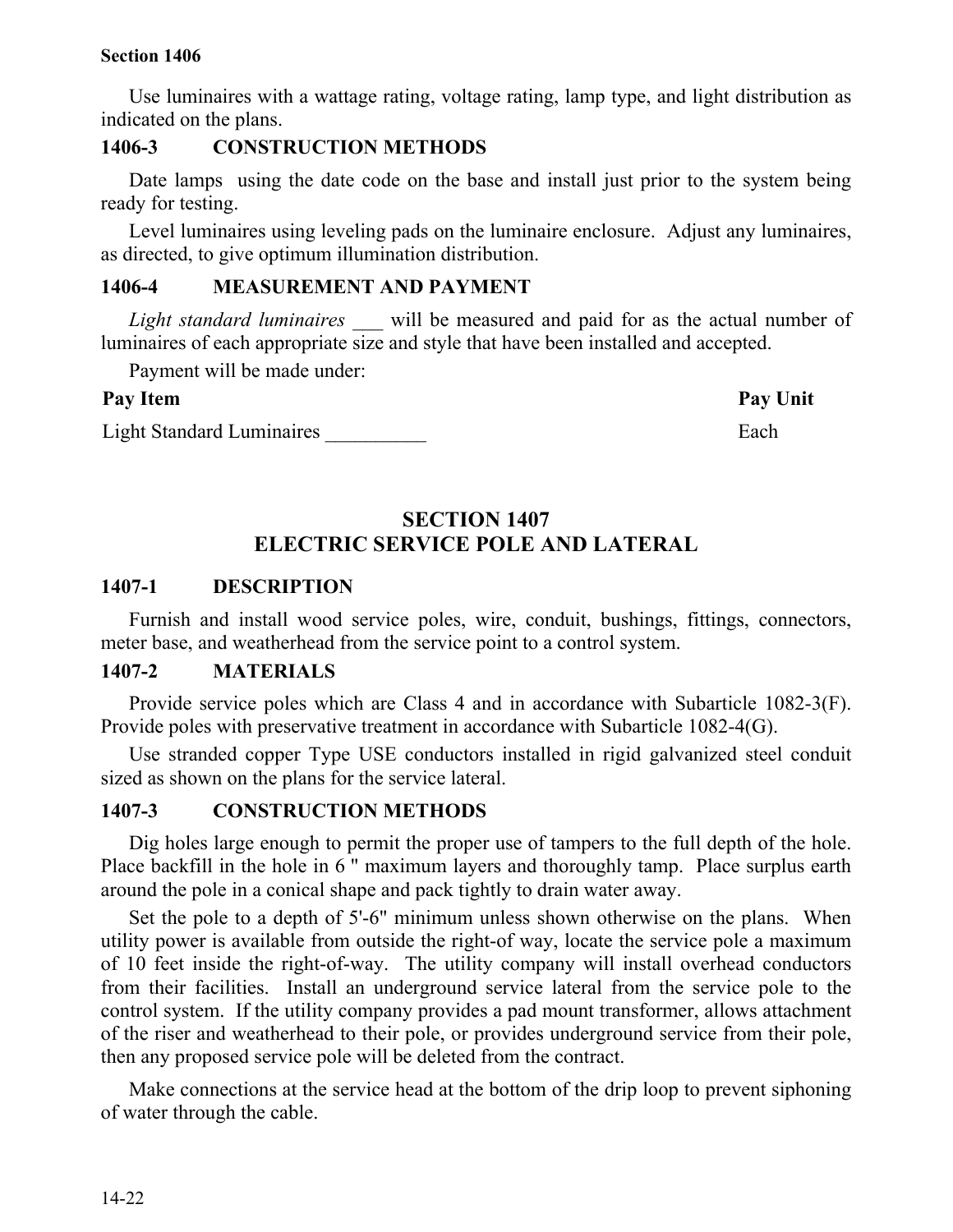Use luminaires with a wattage rating, voltage rating, lamp type, and light distribution as indicated on the plans.

### **1406-3 CONSTRUCTION METHODS**

Date lamps using the date code on the base and install just prior to the system being ready for testing.

Level luminaires using leveling pads on the luminaire enclosure. Adjust any luminaires, as directed, to give optimum illumination distribution.

## **1406-4 MEASUREMENT AND PAYMENT**

*Light standard luminaires* will be measured and paid for as the actual number of luminaires of each appropriate size and style that have been installed and accepted.

Payment will be made under:

## **Pay Item Pay Unit**

Light Standard Luminaires **Each** 

# **SECTION 1407 ELECTRIC SERVICE POLE AND LATERAL**

## **1407-1 DESCRIPTION**

Furnish and install wood service poles, wire, conduit, bushings, fittings, connectors, meter base, and weatherhead from the service point to a control system.

### **1407-2 MATERIALS**

Provide service poles which are Class 4 and in accordance with Subarticle 1082-3(F). Provide poles with preservative treatment in accordance with Subarticle 1082-4(G).

Use stranded copper Type USE conductors installed in rigid galvanized steel conduit sized as shown on the plans for the service lateral.

## **1407-3 CONSTRUCTION METHODS**

Dig holes large enough to permit the proper use of tampers to the full depth of the hole. Place backfill in the hole in 6 " maximum layers and thoroughly tamp. Place surplus earth around the pole in a conical shape and pack tightly to drain water away.

Set the pole to a depth of 5'-6" minimum unless shown otherwise on the plans. When utility power is available from outside the right-of way, locate the service pole a maximum of 10 feet inside the right-of-way. The utility company will install overhead conductors from their facilities. Install an underground service lateral from the service pole to the control system. If the utility company provides a pad mount transformer, allows attachment of the riser and weatherhead to their pole, or provides underground service from their pole, then any proposed service pole will be deleted from the contract.

Make connections at the service head at the bottom of the drip loop to prevent siphoning of water through the cable.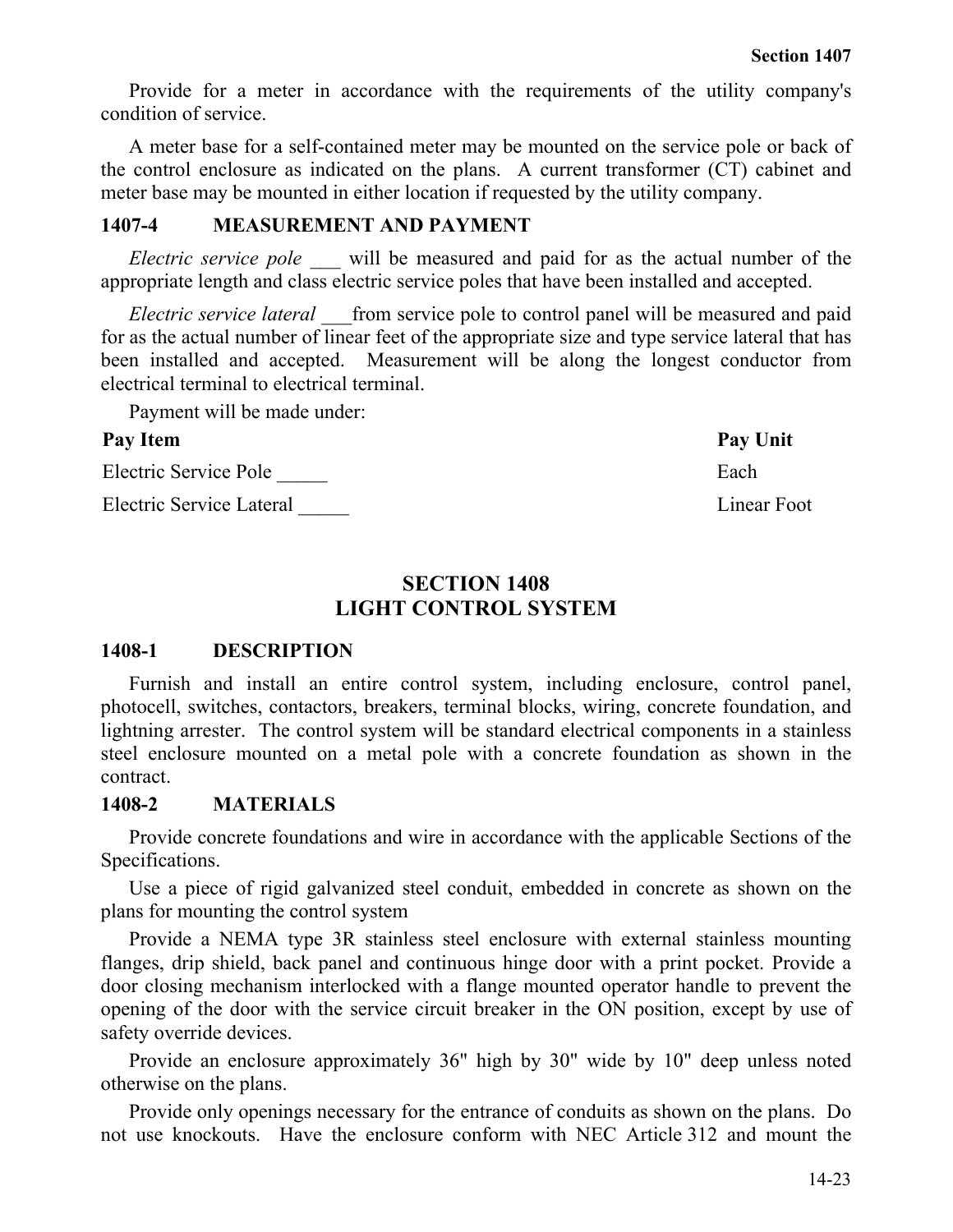Provide for a meter in accordance with the requirements of the utility company's condition of service.

A meter base for a self-contained meter may be mounted on the service pole or back of the control enclosure as indicated on the plans. A current transformer (CT) cabinet and meter base may be mounted in either location if requested by the utility company.

## **1407-4 MEASUREMENT AND PAYMENT**

*Electric service pole* will be measured and paid for as the actual number of the appropriate length and class electric service poles that have been installed and accepted.

*Electric service lateral* from service pole to control panel will be measured and paid for as the actual number of linear feet of the appropriate size and type service lateral that has been installed and accepted. Measurement will be along the longest conductor from electrical terminal to electrical terminal.

Payment will be made under:

## Pay Item **Pay Unit**

Electric Service Pole **Each** 

Electric Service Lateral Linear Foot

## **SECTION 1408 LIGHT CONTROL SYSTEM**

## **1408-1 DESCRIPTION**

Furnish and install an entire control system, including enclosure, control panel, photocell, switches, contactors, breakers, terminal blocks, wiring, concrete foundation, and lightning arrester. The control system will be standard electrical components in a stainless steel enclosure mounted on a metal pole with a concrete foundation as shown in the contract.

## **1408-2 MATERIALS**

Provide concrete foundations and wire in accordance with the applicable Sections of the Specifications.

Use a piece of rigid galvanized steel conduit, embedded in concrete as shown on the plans for mounting the control system

Provide a NEMA type 3R stainless steel enclosure with external stainless mounting flanges, drip shield, back panel and continuous hinge door with a print pocket. Provide a door closing mechanism interlocked with a flange mounted operator handle to prevent the opening of the door with the service circuit breaker in the ON position, except by use of safety override devices.

Provide an enclosure approximately 36" high by 30" wide by 10" deep unless noted otherwise on the plans.

Provide only openings necessary for the entrance of conduits as shown on the plans. Do not use knockouts. Have the enclosure conform with NEC Article 312 and mount the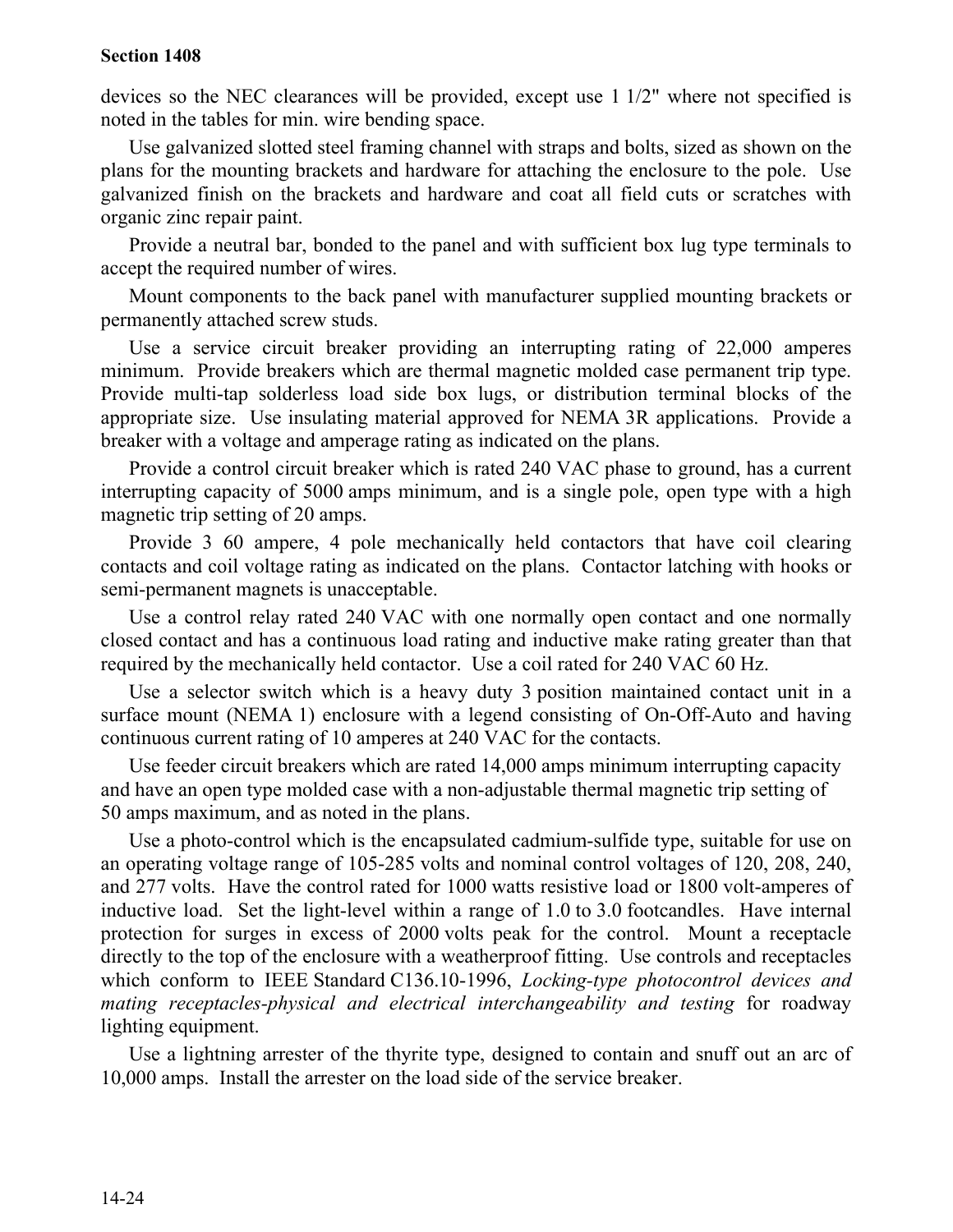devices so the NEC clearances will be provided, except use 1 1/2" where not specified is noted in the tables for min. wire bending space.

Use galvanized slotted steel framing channel with straps and bolts, sized as shown on the plans for the mounting brackets and hardware for attaching the enclosure to the pole. Use galvanized finish on the brackets and hardware and coat all field cuts or scratches with organic zinc repair paint.

Provide a neutral bar, bonded to the panel and with sufficient box lug type terminals to accept the required number of wires.

Mount components to the back panel with manufacturer supplied mounting brackets or permanently attached screw studs.

Use a service circuit breaker providing an interrupting rating of 22,000 amperes minimum. Provide breakers which are thermal magnetic molded case permanent trip type. Provide multi-tap solderless load side box lugs, or distribution terminal blocks of the appropriate size. Use insulating material approved for NEMA 3R applications. Provide a breaker with a voltage and amperage rating as indicated on the plans.

Provide a control circuit breaker which is rated 240 VAC phase to ground, has a current interrupting capacity of 5000 amps minimum, and is a single pole, open type with a high magnetic trip setting of 20 amps.

Provide 3 60 ampere, 4 pole mechanically held contactors that have coil clearing contacts and coil voltage rating as indicated on the plans. Contactor latching with hooks or semi-permanent magnets is unacceptable.

Use a control relay rated 240 VAC with one normally open contact and one normally closed contact and has a continuous load rating and inductive make rating greater than that required by the mechanically held contactor. Use a coil rated for 240 VAC 60 Hz.

Use a selector switch which is a heavy duty 3 position maintained contact unit in a surface mount (NEMA 1) enclosure with a legend consisting of On-Off-Auto and having continuous current rating of 10 amperes at 240 VAC for the contacts.

Use feeder circuit breakers which are rated 14,000 amps minimum interrupting capacity and have an open type molded case with a non-adjustable thermal magnetic trip setting of 50 amps maximum, and as noted in the plans.

Use a photo-control which is the encapsulated cadmium-sulfide type, suitable for use on an operating voltage range of 105-285 volts and nominal control voltages of 120, 208, 240, and 277 volts. Have the control rated for 1000 watts resistive load or 1800 volt-amperes of inductive load. Set the light-level within a range of 1.0 to 3.0 footcandles. Have internal protection for surges in excess of 2000 volts peak for the control. Mount a receptacle directly to the top of the enclosure with a weatherproof fitting. Use controls and receptacles which conform to IEEE Standard C136.10-1996, *Locking-type photocontrol devices and mating receptacles-physical and electrical interchangeability and testing* for roadway lighting equipment.

Use a lightning arrester of the thyrite type, designed to contain and snuff out an arc of 10,000 amps. Install the arrester on the load side of the service breaker.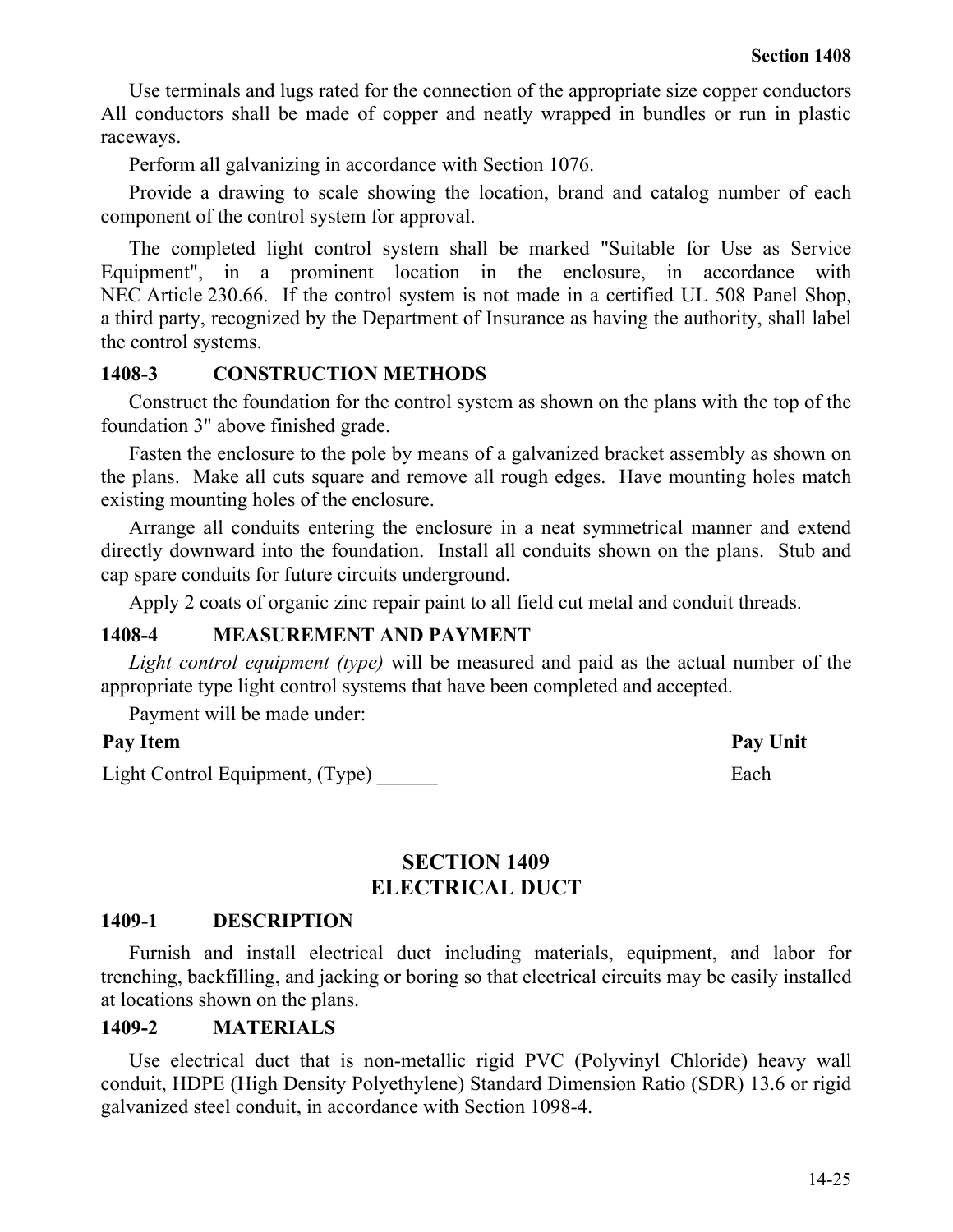Use terminals and lugs rated for the connection of the appropriate size copper conductors All conductors shall be made of copper and neatly wrapped in bundles or run in plastic raceways.

Perform all galvanizing in accordance with Section 1076.

Provide a drawing to scale showing the location, brand and catalog number of each component of the control system for approval.

The completed light control system shall be marked "Suitable for Use as Service Equipment", in a prominent location in the enclosure, in accordance with NEC Article 230.66. If the control system is not made in a certified UL 508 Panel Shop, a third party, recognized by the Department of Insurance as having the authority, shall label the control systems.

## **1408-3 CONSTRUCTION METHODS**

Construct the foundation for the control system as shown on the plans with the top of the foundation 3" above finished grade.

Fasten the enclosure to the pole by means of a galvanized bracket assembly as shown on the plans. Make all cuts square and remove all rough edges. Have mounting holes match existing mounting holes of the enclosure.

Arrange all conduits entering the enclosure in a neat symmetrical manner and extend directly downward into the foundation. Install all conduits shown on the plans. Stub and cap spare conduits for future circuits underground.

Apply 2 coats of organic zinc repair paint to all field cut metal and conduit threads.

## **1408-4 MEASUREMENT AND PAYMENT**

*Light control equipment (type)* will be measured and paid as the actual number of the appropriate type light control systems that have been completed and accepted.

Payment will be made under:

## **Pay Item Pay Unit**

Light Control Equipment, (Type) Each

**SECTION 1409 ELECTRICAL DUCT**

#### **1409-1 DESCRIPTION**

Furnish and install electrical duct including materials, equipment, and labor for trenching, backfilling, and jacking or boring so that electrical circuits may be easily installed at locations shown on the plans.

#### **1409-2 MATERIALS**

Use electrical duct that is non-metallic rigid PVC (Polyvinyl Chloride) heavy wall conduit, HDPE (High Density Polyethylene) Standard Dimension Ratio (SDR) 13.6 or rigid galvanized steel conduit, in accordance with Section 1098-4.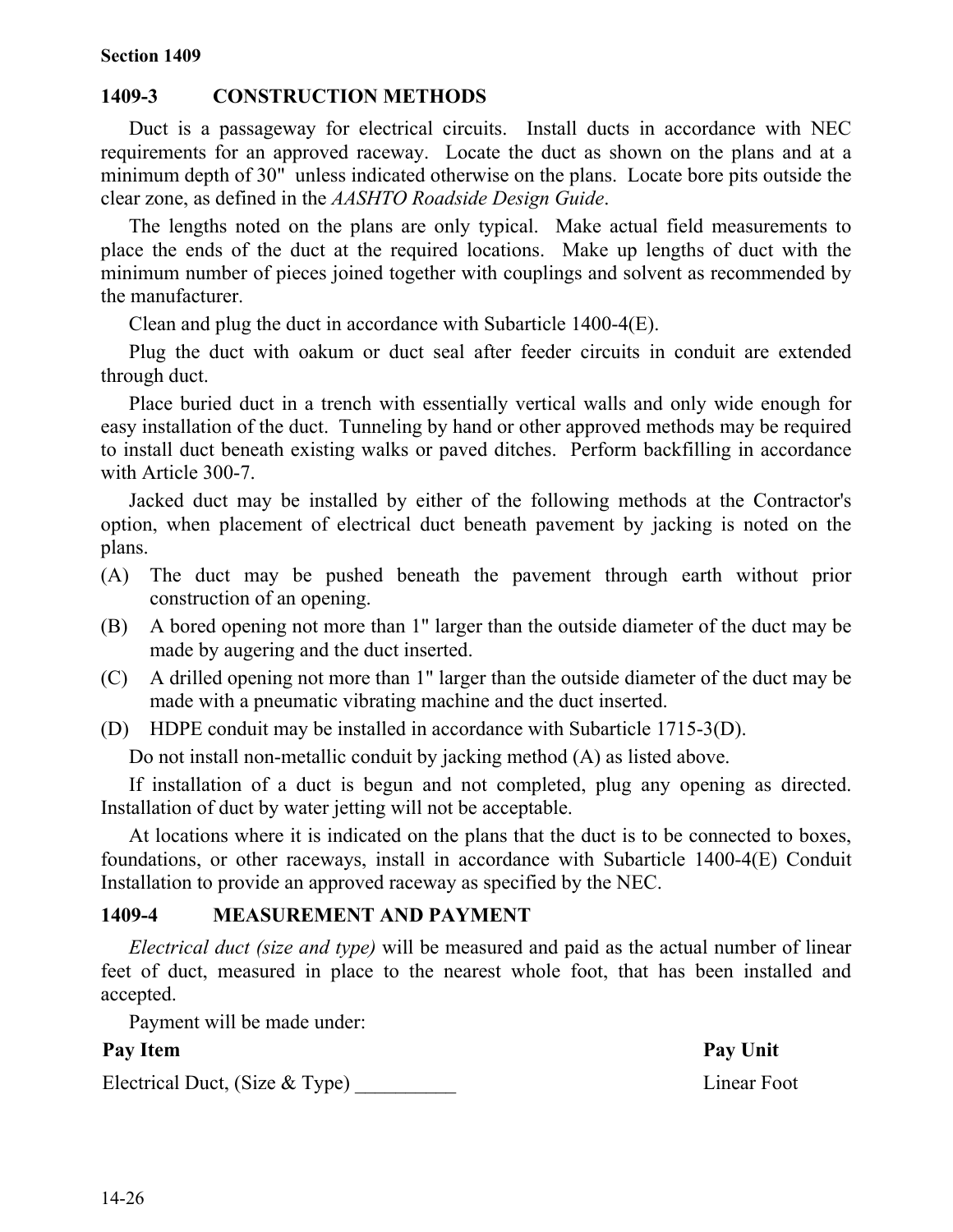## **1409-3 CONSTRUCTION METHODS**

Duct is a passageway for electrical circuits. Install ducts in accordance with NEC requirements for an approved raceway. Locate the duct as shown on the plans and at a minimum depth of 30" unless indicated otherwise on the plans. Locate bore pits outside the clear zone, as defined in the *AASHTO Roadside Design Guide*.

The lengths noted on the plans are only typical. Make actual field measurements to place the ends of the duct at the required locations. Make up lengths of duct with the minimum number of pieces joined together with couplings and solvent as recommended by the manufacturer.

Clean and plug the duct in accordance with Subarticle 1400-4(E).

Plug the duct with oakum or duct seal after feeder circuits in conduit are extended through duct.

Place buried duct in a trench with essentially vertical walls and only wide enough for easy installation of the duct. Tunneling by hand or other approved methods may be required to install duct beneath existing walks or paved ditches. Perform backfilling in accordance with Article 300-7.

Jacked duct may be installed by either of the following methods at the Contractor's option, when placement of electrical duct beneath pavement by jacking is noted on the plans.

- (A) The duct may be pushed beneath the pavement through earth without prior construction of an opening.
- (B) A bored opening not more than 1" larger than the outside diameter of the duct may be made by augering and the duct inserted.
- (C) A drilled opening not more than 1" larger than the outside diameter of the duct may be made with a pneumatic vibrating machine and the duct inserted.
- (D) HDPE conduit may be installed in accordance with Subarticle 1715-3(D).

Do not install non-metallic conduit by jacking method (A) as listed above.

If installation of a duct is begun and not completed, plug any opening as directed. Installation of duct by water jetting will not be acceptable.

At locations where it is indicated on the plans that the duct is to be connected to boxes, foundations, or other raceways, install in accordance with Subarticle 1400-4(E) Conduit Installation to provide an approved raceway as specified by the NEC.

## **1409-4 MEASUREMENT AND PAYMENT**

*Electrical duct (size and type)* will be measured and paid as the actual number of linear feet of duct, measured in place to the nearest whole foot, that has been installed and accepted.

Payment will be made under:

Electrical Duct, (Size & Type) Linear Foot

Pay Item Pay Unit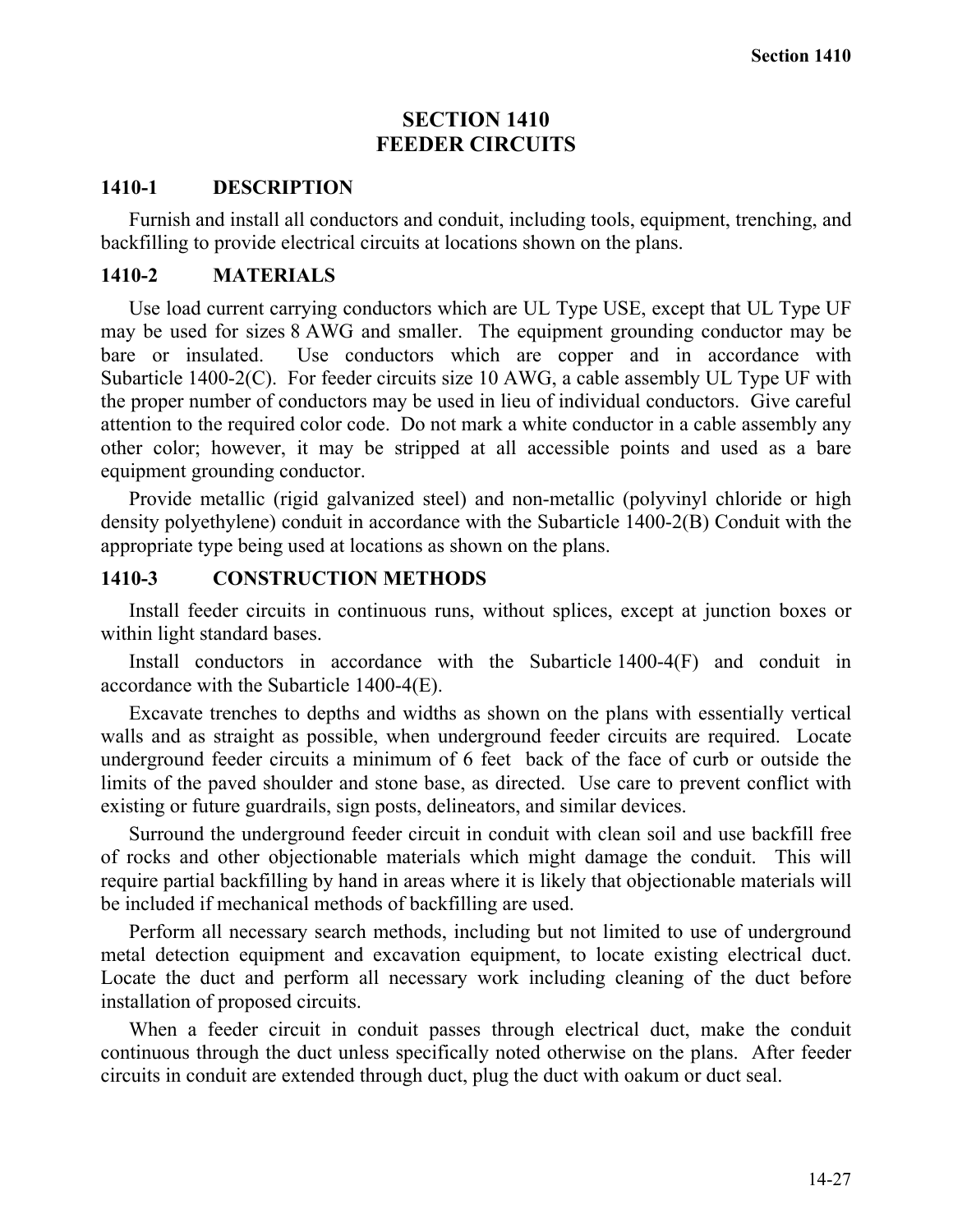## **SECTION 1410 FEEDER CIRCUITS**

### **1410-1 DESCRIPTION**

Furnish and install all conductors and conduit, including tools, equipment, trenching, and backfilling to provide electrical circuits at locations shown on the plans.

## **1410-2 MATERIALS**

Use load current carrying conductors which are UL Type USE, except that UL Type UF may be used for sizes 8 AWG and smaller. The equipment grounding conductor may be bare or insulated. Use conductors which are copper and in accordance with Subarticle 1400-2(C). For feeder circuits size 10 AWG, a cable assembly UL Type UF with the proper number of conductors may be used in lieu of individual conductors. Give careful attention to the required color code. Do not mark a white conductor in a cable assembly any other color; however, it may be stripped at all accessible points and used as a bare equipment grounding conductor.

Provide metallic (rigid galvanized steel) and non-metallic (polyvinyl chloride or high density polyethylene) conduit in accordance with the Subarticle 1400-2(B) Conduit with the appropriate type being used at locations as shown on the plans.

## **1410-3 CONSTRUCTION METHODS**

Install feeder circuits in continuous runs, without splices, except at junction boxes or within light standard bases.

Install conductors in accordance with the Subarticle 1400-4(F) and conduit in accordance with the Subarticle 1400-4(E).

Excavate trenches to depths and widths as shown on the plans with essentially vertical walls and as straight as possible, when underground feeder circuits are required. Locate underground feeder circuits a minimum of 6 feet back of the face of curb or outside the limits of the paved shoulder and stone base, as directed. Use care to prevent conflict with existing or future guardrails, sign posts, delineators, and similar devices.

Surround the underground feeder circuit in conduit with clean soil and use backfill free of rocks and other objectionable materials which might damage the conduit. This will require partial backfilling by hand in areas where it is likely that objectionable materials will be included if mechanical methods of backfilling are used.

Perform all necessary search methods, including but not limited to use of underground metal detection equipment and excavation equipment, to locate existing electrical duct. Locate the duct and perform all necessary work including cleaning of the duct before installation of proposed circuits.

When a feeder circuit in conduit passes through electrical duct, make the conduit continuous through the duct unless specifically noted otherwise on the plans. After feeder circuits in conduit are extended through duct, plug the duct with oakum or duct seal.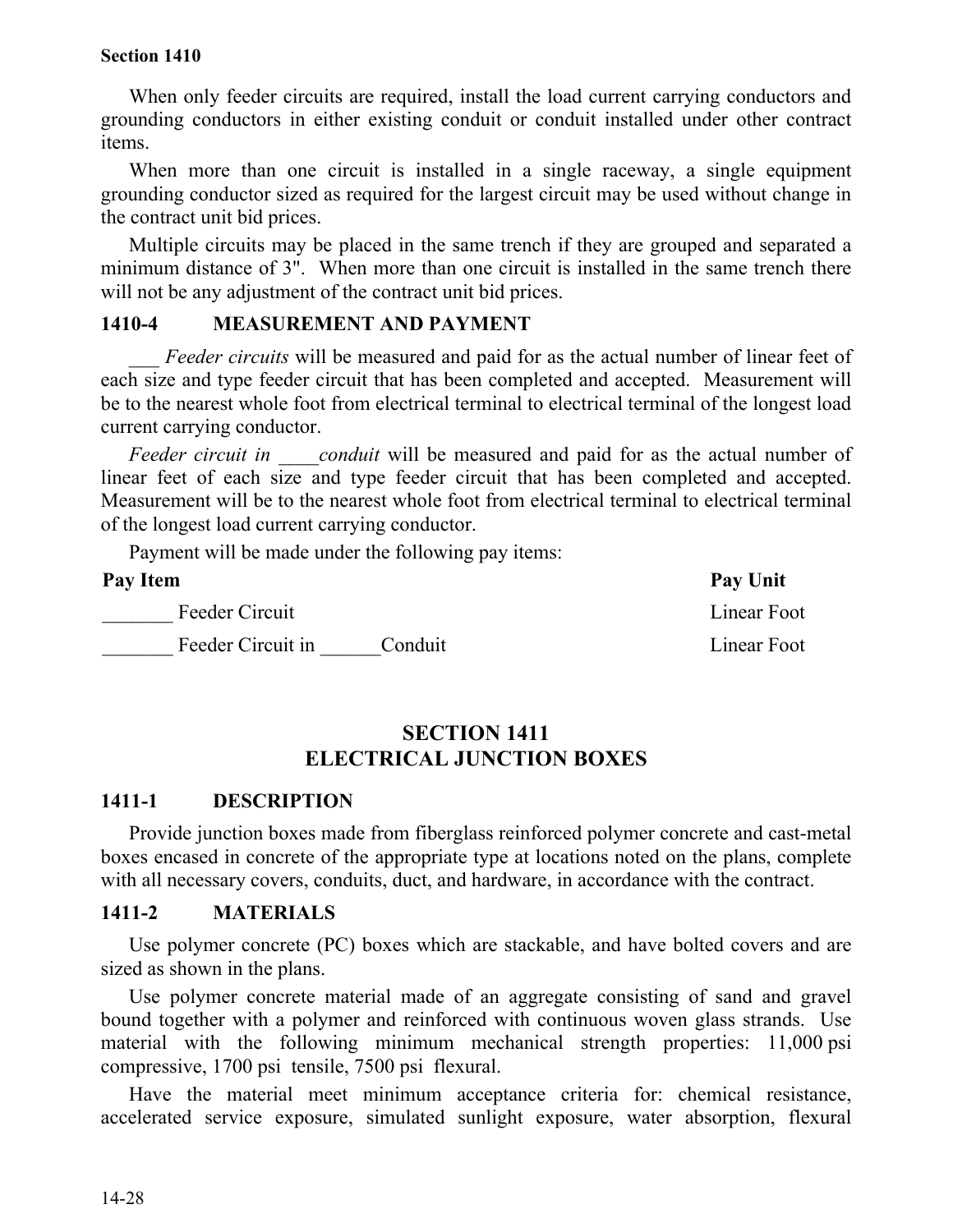When only feeder circuits are required, install the load current carrying conductors and grounding conductors in either existing conduit or conduit installed under other contract items.

When more than one circuit is installed in a single raceway, a single equipment grounding conductor sized as required for the largest circuit may be used without change in the contract unit bid prices.

Multiple circuits may be placed in the same trench if they are grouped and separated a minimum distance of 3". When more than one circuit is installed in the same trench there will not be any adjustment of the contract unit bid prices.

#### **1410-4 MEASUREMENT AND PAYMENT**

*Feeder circuits* will be measured and paid for as the actual number of linear feet of each size and type feeder circuit that has been completed and accepted. Measurement will be to the nearest whole foot from electrical terminal to electrical terminal of the longest load current carrying conductor.

*Feeder circuit in conduit* will be measured and paid for as the actual number of linear feet of each size and type feeder circuit that has been completed and accepted. Measurement will be to the nearest whole foot from electrical terminal to electrical terminal of the longest load current carrying conductor.

Payment will be made under the following pay items:

| Pay Item |                   |         | Pay Unit    |
|----------|-------------------|---------|-------------|
|          | Feeder Circuit    |         | Linear Foot |
|          | Feeder Circuit in | Conduit | Linear Foot |

## **SECTION 1411 ELECTRICAL JUNCTION BOXES**

#### **1411-1 DESCRIPTION**

Provide junction boxes made from fiberglass reinforced polymer concrete and cast-metal boxes encased in concrete of the appropriate type at locations noted on the plans, complete with all necessary covers, conduits, duct, and hardware, in accordance with the contract.

#### **1411-2 MATERIALS**

Use polymer concrete (PC) boxes which are stackable, and have bolted covers and are sized as shown in the plans.

Use polymer concrete material made of an aggregate consisting of sand and gravel bound together with a polymer and reinforced with continuous woven glass strands. Use material with the following minimum mechanical strength properties: 11,000 psi compressive, 1700 psi tensile, 7500 psi flexural.

Have the material meet minimum acceptance criteria for: chemical resistance, accelerated service exposure, simulated sunlight exposure, water absorption, flexural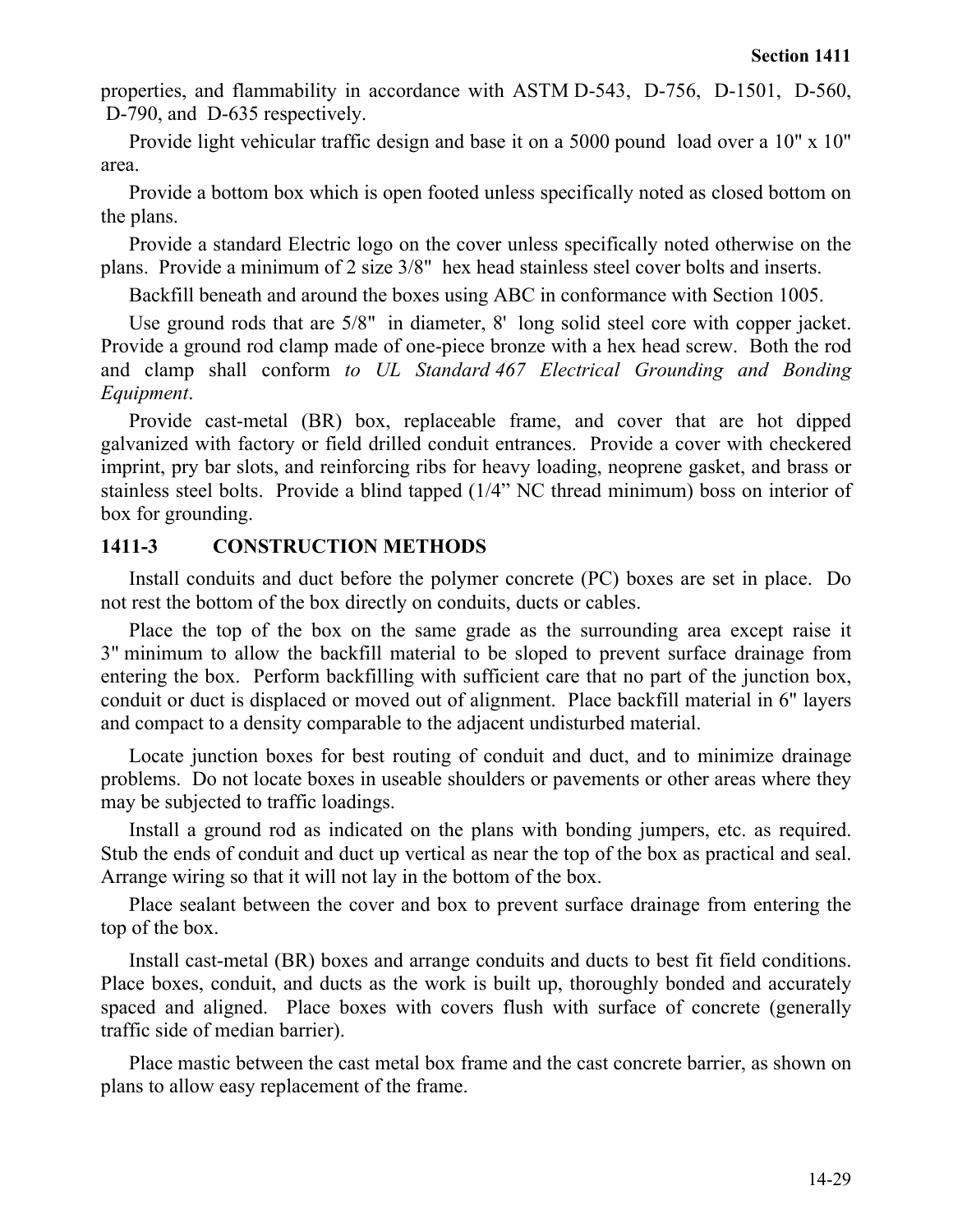properties, and flammability in accordance with ASTM D-543, D-756, D-1501, D-560, D-790, and D-635 respectively.

Provide light vehicular traffic design and base it on a 5000 pound load over a 10" x 10" area.

Provide a bottom box which is open footed unless specifically noted as closed bottom on the plans.

Provide a standard Electric logo on the cover unless specifically noted otherwise on the plans. Provide a minimum of 2 size 3/8" hex head stainless steel cover bolts and inserts.

Backfill beneath and around the boxes using ABC in conformance with Section 1005.

Use ground rods that are 5/8" in diameter, 8' long solid steel core with copper jacket. Provide a ground rod clamp made of one-piece bronze with a hex head screw. Both the rod and clamp shall conform *to UL Standard 467 Electrical Grounding and Bonding Equipment*.

Provide cast-metal (BR) box, replaceable frame, and cover that are hot dipped galvanized with factory or field drilled conduit entrances. Provide a cover with checkered imprint, pry bar slots, and reinforcing ribs for heavy loading, neoprene gasket, and brass or stainless steel bolts. Provide a blind tapped (1/4" NC thread minimum) boss on interior of box for grounding.

## **1411-3 CONSTRUCTION METHODS**

Install conduits and duct before the polymer concrete (PC) boxes are set in place. Do not rest the bottom of the box directly on conduits, ducts or cables.

Place the top of the box on the same grade as the surrounding area except raise it 3" minimum to allow the backfill material to be sloped to prevent surface drainage from entering the box. Perform backfilling with sufficient care that no part of the junction box, conduit or duct is displaced or moved out of alignment. Place backfill material in 6" layers and compact to a density comparable to the adjacent undisturbed material.

Locate junction boxes for best routing of conduit and duct, and to minimize drainage problems. Do not locate boxes in useable shoulders or pavements or other areas where they may be subjected to traffic loadings.

Install a ground rod as indicated on the plans with bonding jumpers, etc. as required. Stub the ends of conduit and duct up vertical as near the top of the box as practical and seal. Arrange wiring so that it will not lay in the bottom of the box.

Place sealant between the cover and box to prevent surface drainage from entering the top of the box.

Install cast-metal (BR) boxes and arrange conduits and ducts to best fit field conditions. Place boxes, conduit, and ducts as the work is built up, thoroughly bonded and accurately spaced and aligned. Place boxes with covers flush with surface of concrete (generally traffic side of median barrier).

Place mastic between the cast metal box frame and the cast concrete barrier, as shown on plans to allow easy replacement of the frame.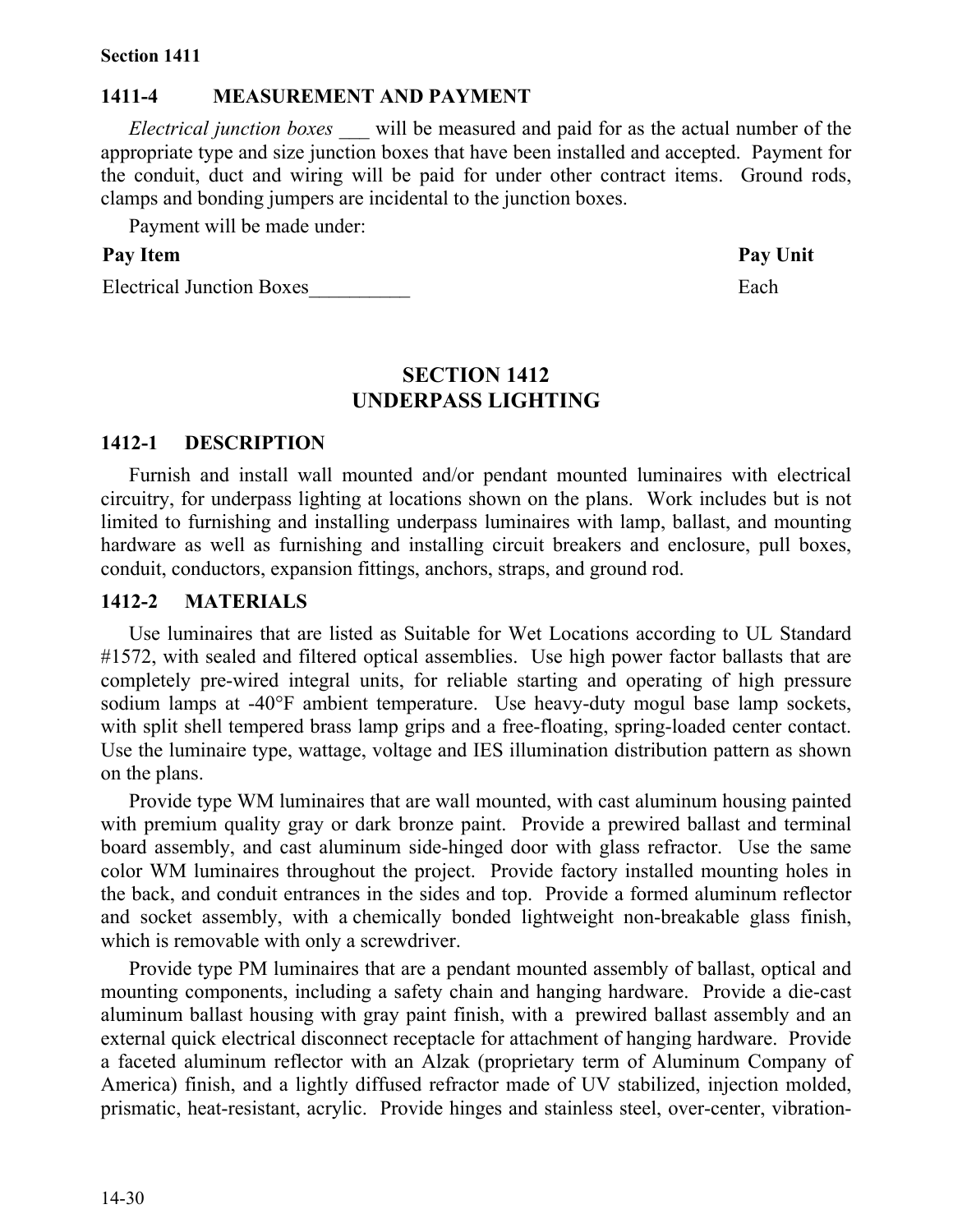#### **1411-4 MEASUREMENT AND PAYMENT**

*Electrical junction boxes \_\_\_* will be measured and paid for as the actual number of the appropriate type and size junction boxes that have been installed and accepted. Payment for the conduit, duct and wiring will be paid for under other contract items. Ground rods, clamps and bonding jumpers are incidental to the junction boxes.

Payment will be made under:

## Pay Item **Pay Unit**

Electrical Junction Boxes Each

## **SECTION 1412 UNDERPASS LIGHTING**

#### **1412-1 DESCRIPTION**

Furnish and install wall mounted and/or pendant mounted luminaires with electrical circuitry, for underpass lighting at locations shown on the plans. Work includes but is not limited to furnishing and installing underpass luminaires with lamp, ballast, and mounting hardware as well as furnishing and installing circuit breakers and enclosure, pull boxes, conduit, conductors, expansion fittings, anchors, straps, and ground rod.

#### **1412-2 MATERIALS**

Use luminaires that are listed as Suitable for Wet Locations according to UL Standard #1572, with sealed and filtered optical assemblies. Use high power factor ballasts that are completely pre-wired integral units, for reliable starting and operating of high pressure sodium lamps at -40°F ambient temperature. Use heavy-duty mogul base lamp sockets, with split shell tempered brass lamp grips and a free-floating, spring-loaded center contact. Use the luminaire type, wattage, voltage and IES illumination distribution pattern as shown on the plans.

Provide type WM luminaires that are wall mounted, with cast aluminum housing painted with premium quality gray or dark bronze paint. Provide a prewired ballast and terminal board assembly, and cast aluminum side-hinged door with glass refractor. Use the same color WM luminaires throughout the project. Provide factory installed mounting holes in the back, and conduit entrances in the sides and top. Provide a formed aluminum reflector and socket assembly, with a chemically bonded lightweight non-breakable glass finish, which is removable with only a screwdriver.

Provide type PM luminaires that are a pendant mounted assembly of ballast, optical and mounting components, including a safety chain and hanging hardware. Provide a die-cast aluminum ballast housing with gray paint finish, with a prewired ballast assembly and an external quick electrical disconnect receptacle for attachment of hanging hardware. Provide a faceted aluminum reflector with an Alzak (proprietary term of Aluminum Company of America) finish, and a lightly diffused refractor made of UV stabilized, injection molded, prismatic, heat-resistant, acrylic. Provide hinges and stainless steel, over-center, vibration-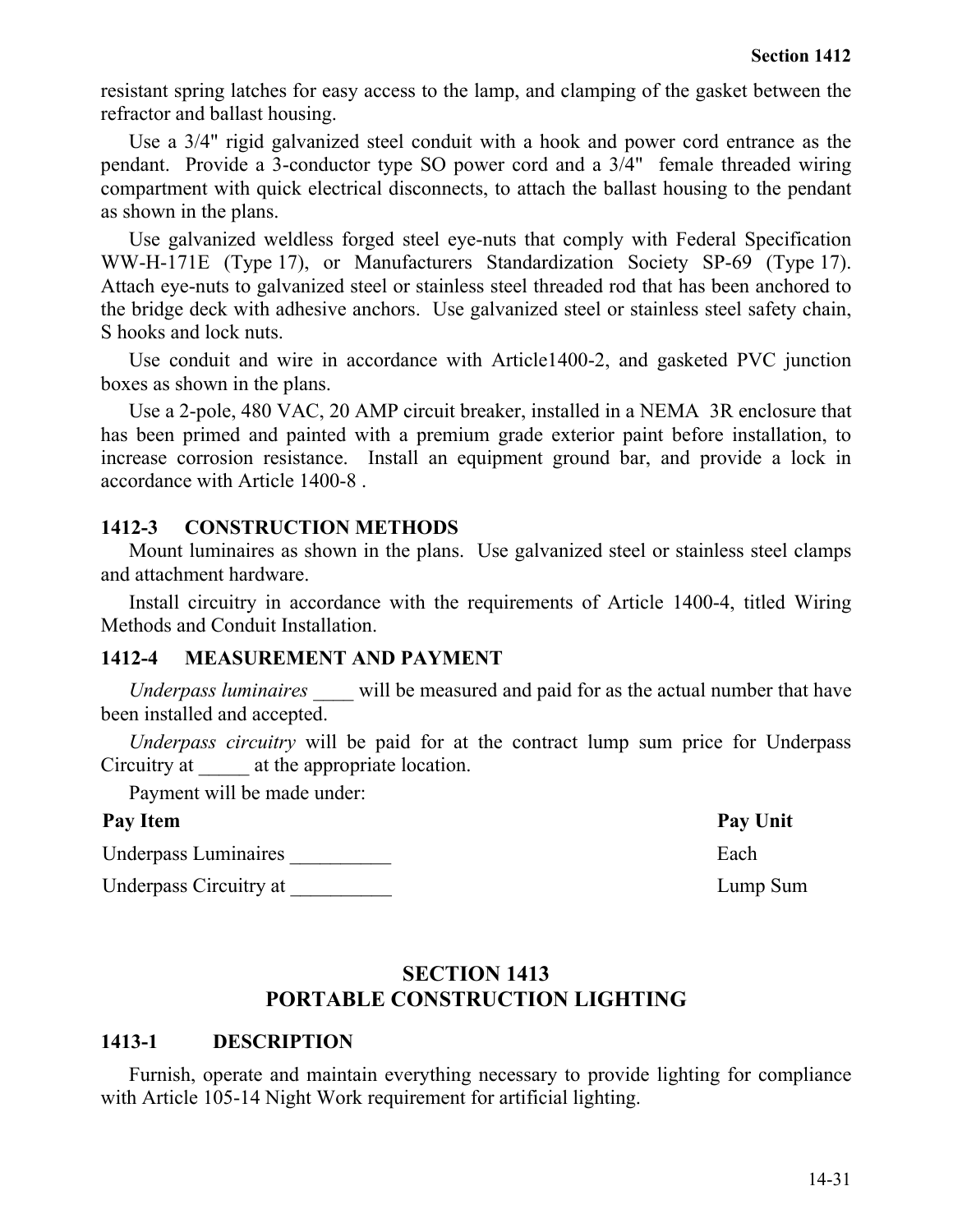resistant spring latches for easy access to the lamp, and clamping of the gasket between the refractor and ballast housing.

Use a 3/4" rigid galvanized steel conduit with a hook and power cord entrance as the pendant. Provide a 3-conductor type SO power cord and a 3/4" female threaded wiring compartment with quick electrical disconnects, to attach the ballast housing to the pendant as shown in the plans.

Use galvanized weldless forged steel eye-nuts that comply with Federal Specification WW-H-171E (Type 17), or Manufacturers Standardization Society SP-69 (Type 17). Attach eye-nuts to galvanized steel or stainless steel threaded rod that has been anchored to the bridge deck with adhesive anchors. Use galvanized steel or stainless steel safety chain, S hooks and lock nuts.

Use conduit and wire in accordance with Article1400-2, and gasketed PVC junction boxes as shown in the plans.

Use a 2-pole, 480 VAC, 20 AMP circuit breaker, installed in a NEMA 3R enclosure that has been primed and painted with a premium grade exterior paint before installation, to increase corrosion resistance. Install an equipment ground bar, and provide a lock in accordance with Article 1400-8 .

## **1412-3 CONSTRUCTION METHODS**

Mount luminaires as shown in the plans. Use galvanized steel or stainless steel clamps and attachment hardware.

Install circuitry in accordance with the requirements of Article 1400-4, titled Wiring Methods and Conduit Installation.

#### **1412-4 MEASUREMENT AND PAYMENT**

*Underpass luminaires* will be measured and paid for as the actual number that have been installed and accepted.

*Underpass circuitry* will be paid for at the contract lump sum price for Underpass Circuitry at  $\qquad$  at the appropriate location.

Payment will be made under:

#### Pay Item Pay Unit

Underpass Luminaires **Each** 

Underpass Circuitry at  $Lump$  Sum

## **SECTION 1413 PORTABLE CONSTRUCTION LIGHTING**

## **1413-1 DESCRIPTION**

Furnish, operate and maintain everything necessary to provide lighting for compliance with Article 105-14 Night Work requirement for artificial lighting.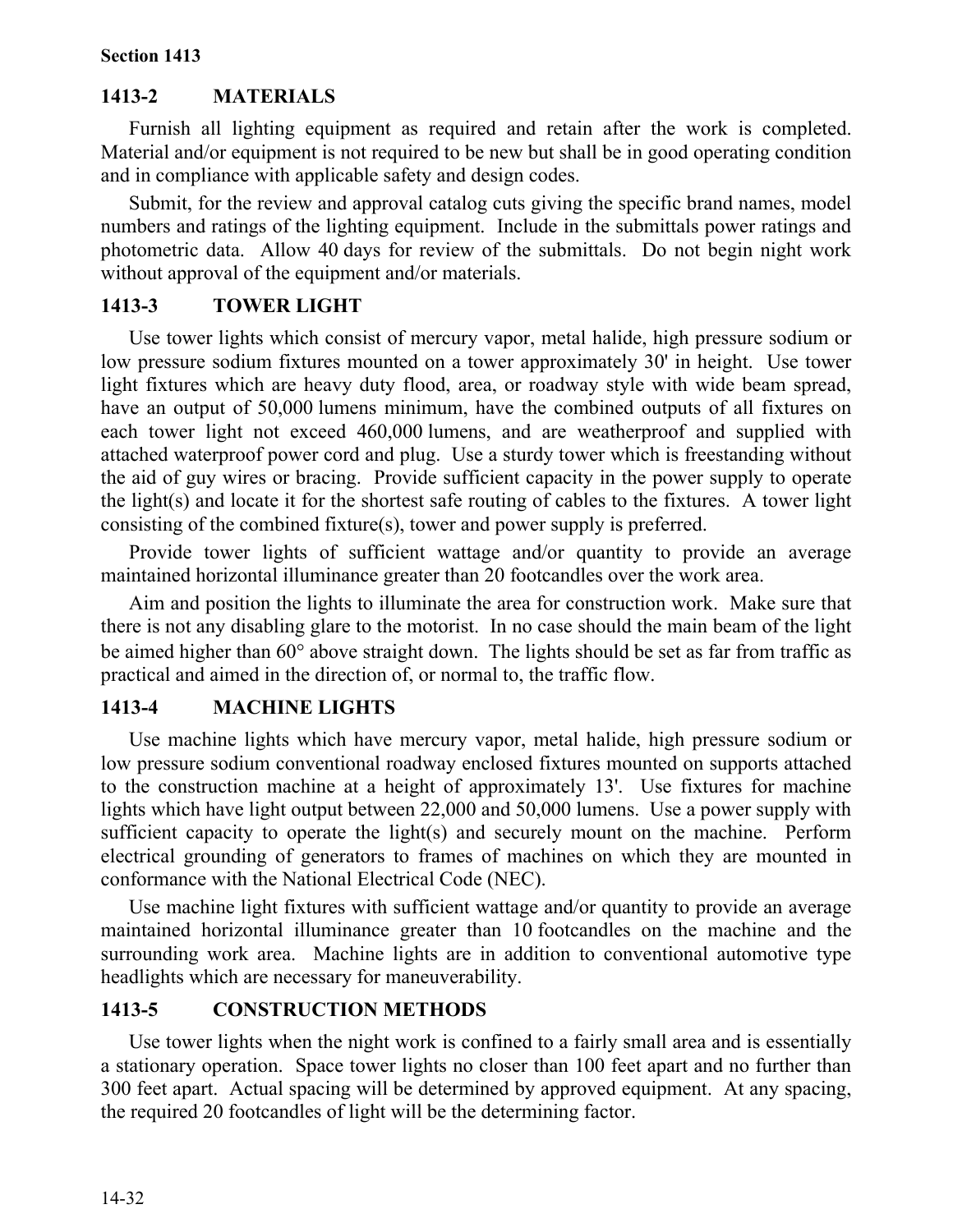## **1413-2 MATERIALS**

Furnish all lighting equipment as required and retain after the work is completed. Material and/or equipment is not required to be new but shall be in good operating condition and in compliance with applicable safety and design codes.

Submit, for the review and approval catalog cuts giving the specific brand names, model numbers and ratings of the lighting equipment. Include in the submittals power ratings and photometric data. Allow 40 days for review of the submittals. Do not begin night work without approval of the equipment and/or materials.

## **1413-3 TOWER LIGHT**

Use tower lights which consist of mercury vapor, metal halide, high pressure sodium or low pressure sodium fixtures mounted on a tower approximately 30' in height. Use tower light fixtures which are heavy duty flood, area, or roadway style with wide beam spread, have an output of 50,000 lumens minimum, have the combined outputs of all fixtures on each tower light not exceed 460,000 lumens, and are weatherproof and supplied with attached waterproof power cord and plug. Use a sturdy tower which is freestanding without the aid of guy wires or bracing. Provide sufficient capacity in the power supply to operate the light(s) and locate it for the shortest safe routing of cables to the fixtures. A tower light consisting of the combined fixture(s), tower and power supply is preferred.

Provide tower lights of sufficient wattage and/or quantity to provide an average maintained horizontal illuminance greater than 20 footcandles over the work area.

Aim and position the lights to illuminate the area for construction work. Make sure that there is not any disabling glare to the motorist. In no case should the main beam of the light be aimed higher than 60° above straight down. The lights should be set as far from traffic as practical and aimed in the direction of, or normal to, the traffic flow.

## **1413-4 MACHINE LIGHTS**

Use machine lights which have mercury vapor, metal halide, high pressure sodium or low pressure sodium conventional roadway enclosed fixtures mounted on supports attached to the construction machine at a height of approximately 13'. Use fixtures for machine lights which have light output between 22,000 and 50,000 lumens. Use a power supply with sufficient capacity to operate the light(s) and securely mount on the machine. Perform electrical grounding of generators to frames of machines on which they are mounted in conformance with the National Electrical Code (NEC).

Use machine light fixtures with sufficient wattage and/or quantity to provide an average maintained horizontal illuminance greater than 10 footcandles on the machine and the surrounding work area. Machine lights are in addition to conventional automotive type headlights which are necessary for maneuverability.

## **1413-5 CONSTRUCTION METHODS**

Use tower lights when the night work is confined to a fairly small area and is essentially a stationary operation. Space tower lights no closer than 100 feet apart and no further than 300 feet apart. Actual spacing will be determined by approved equipment. At any spacing, the required 20 footcandles of light will be the determining factor.